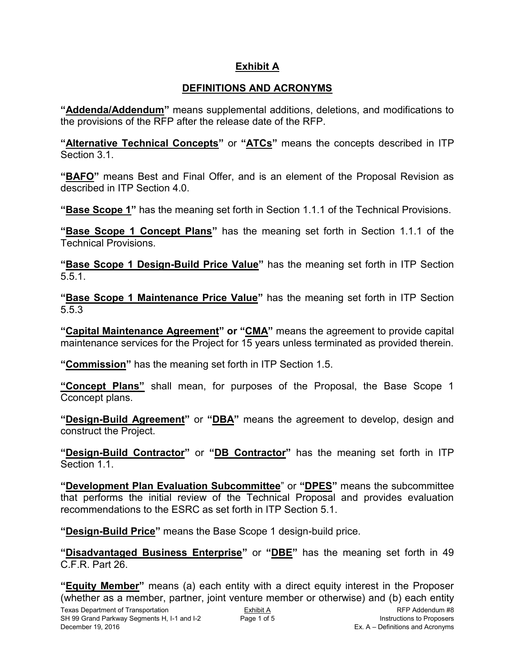# **Exhibit A**

# **DEFINITIONS AND ACRONYMS**

**"Addenda/Addendum"** means supplemental additions, deletions, and modifications to the provisions of the RFP after the release date of the RFP.

**"Alternative Technical Concepts"** or **"ATCs"** means the concepts described in ITP Section 3.1.

**"BAFO"** means Best and Final Offer, and is an element of the Proposal Revision as described in ITP Section 4.0.

**"Base Scope 1"** has the meaning set forth in Section 1.1.1 of the Technical Provisions.

**"Base Scope 1 Concept Plans"** has the meaning set forth in Section 1.1.1 of the Technical Provisions.

**"Base Scope 1 Design-Build Price Value"** has the meaning set forth in ITP Section 5.5.1.

**"Base Scope 1 Maintenance Price Value"** has the meaning set forth in ITP Section 5.5.3

**"Capital Maintenance Agreement" or "CMA"** means the agreement to provide capital maintenance services for the Project for 15 years unless terminated as provided therein.

**"Commission"** has the meaning set forth in ITP Section 1.5.

**"Concept Plans"** shall mean, for purposes of the Proposal, the Base Scope 1 Cconcept plans.

**"Design-Build Agreement"** or **"DBA"** means the agreement to develop, design and construct the Project.

**"Design-Build Contractor"** or **"DB Contractor"** has the meaning set forth in ITP Section 1.1.

**"Development Plan Evaluation Subcommittee**" or **"DPES"** means the subcommittee that performs the initial review of the Technical Proposal and provides evaluation recommendations to the ESRC as set forth in ITP Section 5.1.

**"Design-Build Price"** means the Base Scope 1 design-build price.

**"Disadvantaged Business Enterprise"** or **"DBE"** has the meaning set forth in 49 C.F.R. Part 26.

**"Equity Member"** means (a) each entity with a direct equity interest in the Proposer (whether as a member, partner, joint venture member or otherwise) and (b) each entity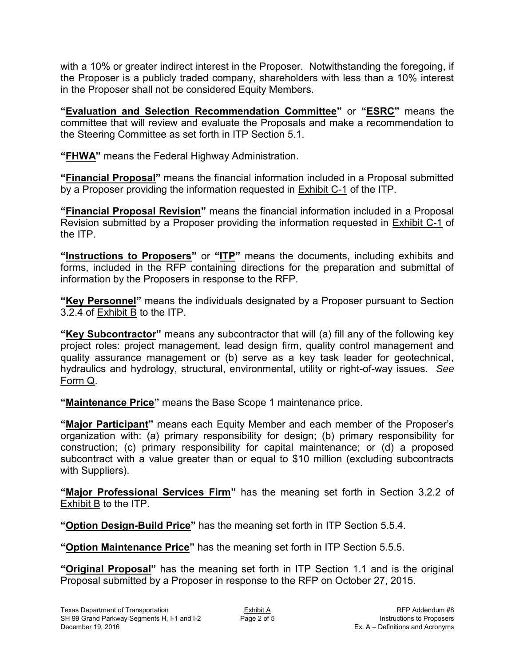with a 10% or greater indirect interest in the Proposer. Notwithstanding the foregoing, if the Proposer is a publicly traded company, shareholders with less than a 10% interest in the Proposer shall not be considered Equity Members.

**"Evaluation and Selection Recommendation Committee"** or **"ESRC"** means the committee that will review and evaluate the Proposals and make a recommendation to the Steering Committee as set forth in ITP Section 5.1.

**"FHWA"** means the Federal Highway Administration.

**"Financial Proposal"** means the financial information included in a Proposal submitted by a Proposer providing the information requested in Exhibit C-1 of the ITP.

**"Financial Proposal Revision"** means the financial information included in a Proposal Revision submitted by a Proposer providing the information requested in Exhibit C-1 of the ITP.

**"Instructions to Proposers"** or **"ITP"** means the documents, including exhibits and forms, included in the RFP containing directions for the preparation and submittal of information by the Proposers in response to the RFP.

**"Key Personnel"** means the individuals designated by a Proposer pursuant to Section 3.2.4 of Exhibit B to the ITP.

**"Key Subcontractor"** means any subcontractor that will (a) fill any of the following key project roles: project management, lead design firm, quality control management and quality assurance management or (b) serve as a key task leader for geotechnical, hydraulics and hydrology, structural, environmental, utility or right-of-way issues. *See* Form Q.

**"Maintenance Price"** means the Base Scope 1 maintenance price.

**"Major Participant"** means each Equity Member and each member of the Proposer's organization with: (a) primary responsibility for design; (b) primary responsibility for construction; (c) primary responsibility for capital maintenance; or (d) a proposed subcontract with a value greater than or equal to \$10 million (excluding subcontracts with Suppliers).

**"Major Professional Services Firm"** has the meaning set forth in Section 3.2.2 of Exhibit B to the ITP.

**"Option Design-Build Price"** has the meaning set forth in ITP Section 5.5.4.

**"Option Maintenance Price"** has the meaning set forth in ITP Section 5.5.5.

**"Original Proposal"** has the meaning set forth in ITP Section 1.1 and is the original Proposal submitted by a Proposer in response to the RFP on October 27, 2015.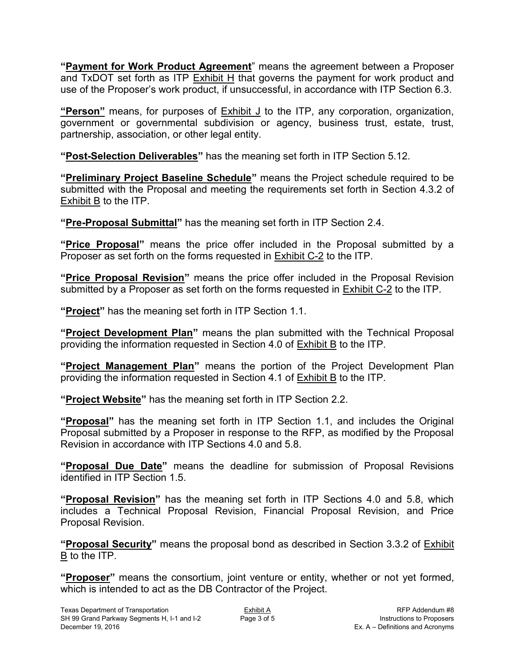**"Payment for Work Product Agreement**" means the agreement between a Proposer and TxDOT set forth as ITP  $Exhibit H$  that governs the payment for work product and use of the Proposer's work product, if unsuccessful, in accordance with ITP Section 6.3.

**"Person"** means, for purposes of Exhibit J to the ITP, any corporation, organization, government or governmental subdivision or agency, business trust, estate, trust, partnership, association, or other legal entity.

**"Post-Selection Deliverables"** has the meaning set forth in ITP Section 5.12.

**"Preliminary Project Baseline Schedule"** means the Project schedule required to be submitted with the Proposal and meeting the requirements set forth in Section 4.3.2 of Exhibit B to the ITP.

**"Pre-Proposal Submittal"** has the meaning set forth in ITP Section 2.4.

**"Price Proposal"** means the price offer included in the Proposal submitted by a Proposer as set forth on the forms requested in Exhibit C-2 to the ITP.

**"Price Proposal Revision"** means the price offer included in the Proposal Revision submitted by a Proposer as set forth on the forms requested in Exhibit C-2 to the ITP.

**"Project"** has the meaning set forth in ITP Section 1.1.

**"Project Development Plan"** means the plan submitted with the Technical Proposal providing the information requested in Section 4.0 of Exhibit B to the ITP.

**"Project Management Plan"** means the portion of the Project Development Plan providing the information requested in Section 4.1 of Exhibit B to the ITP.

**"Project Website"** has the meaning set forth in ITP Section 2.2.

**"Proposal"** has the meaning set forth in ITP Section 1.1, and includes the Original Proposal submitted by a Proposer in response to the RFP, as modified by the Proposal Revision in accordance with ITP Sections 4.0 and 5.8.

**"Proposal Due Date"** means the deadline for submission of Proposal Revisions identified in ITP Section 1.5.

**"Proposal Revision"** has the meaning set forth in ITP Sections 4.0 and 5.8, which includes a Technical Proposal Revision, Financial Proposal Revision, and Price Proposal Revision.

**"Proposal Security"** means the proposal bond as described in Section 3.3.2 of Exhibit B to the ITP.

**"Proposer"** means the consortium, joint venture or entity, whether or not yet formed, which is intended to act as the DB Contractor of the Project.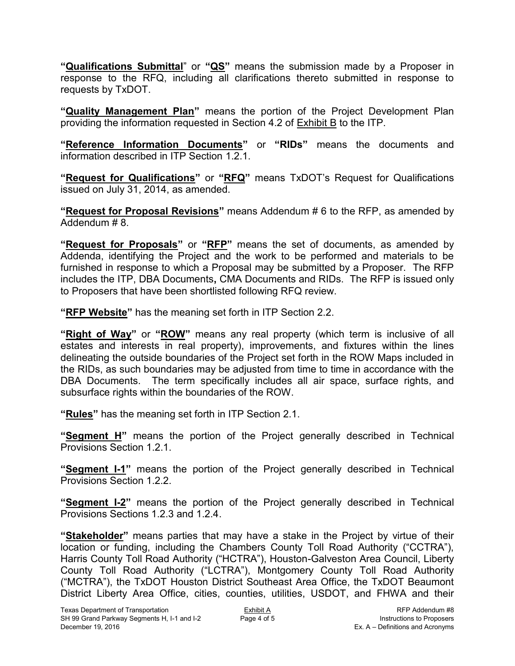**"Qualifications Submittal**" or **"QS"** means the submission made by a Proposer in response to the RFQ, including all clarifications thereto submitted in response to requests by TxDOT.

**"Quality Management Plan"** means the portion of the Project Development Plan providing the information requested in Section 4.2 of Exhibit B to the ITP.

**"Reference Information Documents"** or **"RIDs"** means the documents and information described in ITP Section 1.2.1.

**"Request for Qualifications"** or **"RFQ"** means TxDOT's Request for Qualifications issued on July 31, 2014, as amended.

**"Request for Proposal Revisions"** means Addendum # 6 to the RFP, as amended by Addendum # 8.

**"Request for Proposals"** or **"RFP"** means the set of documents, as amended by Addenda, identifying the Project and the work to be performed and materials to be furnished in response to which a Proposal may be submitted by a Proposer. The RFP includes the ITP, DBA Documents**,** CMA Documents and RIDs. The RFP is issued only to Proposers that have been shortlisted following RFQ review.

**"RFP Website"** has the meaning set forth in ITP Section 2.2.

**"Right of Way"** or **"ROW"** means any real property (which term is inclusive of all estates and interests in real property), improvements, and fixtures within the lines delineating the outside boundaries of the Project set forth in the ROW Maps included in the RIDs, as such boundaries may be adjusted from time to time in accordance with the DBA Documents. The term specifically includes all air space, surface rights, and subsurface rights within the boundaries of the ROW.

**"Rules"** has the meaning set forth in ITP Section 2.1.

**"Segment H"** means the portion of the Project generally described in Technical Provisions Section 1.2.1.

**"Segment I-1"** means the portion of the Project generally described in Technical Provisions Section 1.2.2.

**"Segment I-2"** means the portion of the Project generally described in Technical Provisions Sections 1.2.3 and 1.2.4.

**"Stakeholder"** means parties that may have a stake in the Project by virtue of their location or funding, including the Chambers County Toll Road Authority ("CCTRA"), Harris County Toll Road Authority ("HCTRA"), Houston-Galveston Area Council, Liberty County Toll Road Authority ("LCTRA"), Montgomery County Toll Road Authority ("MCTRA"), the TxDOT Houston District Southeast Area Office, the TxDOT Beaumont District Liberty Area Office, cities, counties, utilities, USDOT, and FHWA and their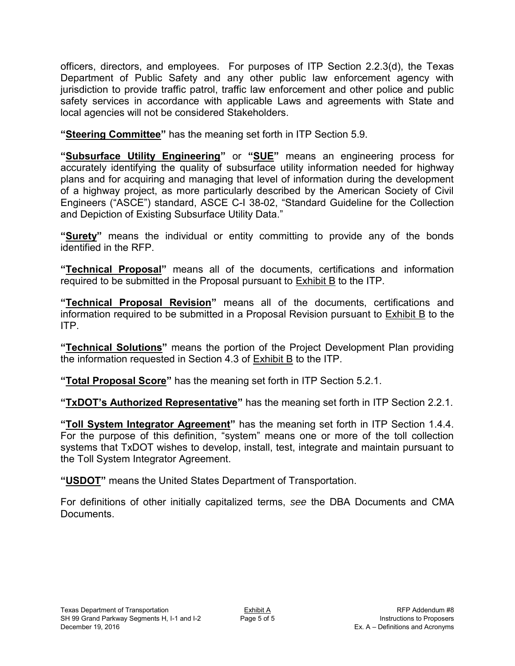officers, directors, and employees. For purposes of ITP Section 2.2.3(d), the Texas Department of Public Safety and any other public law enforcement agency with jurisdiction to provide traffic patrol, traffic law enforcement and other police and public safety services in accordance with applicable Laws and agreements with State and local agencies will not be considered Stakeholders.

**"Steering Committee"** has the meaning set forth in ITP Section 5.9.

**"Subsurface Utility Engineering"** or **"SUE"** means an engineering process for accurately identifying the quality of subsurface utility information needed for highway plans and for acquiring and managing that level of information during the development of a highway project, as more particularly described by the American Society of Civil Engineers ("ASCE") standard, ASCE C-I 38-02, "Standard Guideline for the Collection and Depiction of Existing Subsurface Utility Data."

**"Surety"** means the individual or entity committing to provide any of the bonds identified in the RFP.

**"Technical Proposal"** means all of the documents, certifications and information required to be submitted in the Proposal pursuant to Exhibit B to the ITP.

**"Technical Proposal Revision"** means all of the documents, certifications and information required to be submitted in a Proposal Revision pursuant to Exhibit B to the ITP.

**"Technical Solutions"** means the portion of the Project Development Plan providing the information requested in Section 4.3 of Exhibit B to the ITP.

**"Total Proposal Score"** has the meaning set forth in ITP Section 5.2.1.

**"TxDOT's Authorized Representative"** has the meaning set forth in ITP Section 2.2.1.

**"Toll System Integrator Agreement"** has the meaning set forth in ITP Section 1.4.4. For the purpose of this definition, "system" means one or more of the toll collection systems that TxDOT wishes to develop, install, test, integrate and maintain pursuant to the Toll System Integrator Agreement.

**"USDOT"** means the United States Department of Transportation.

For definitions of other initially capitalized terms, *see* the DBA Documents and CMA Documents.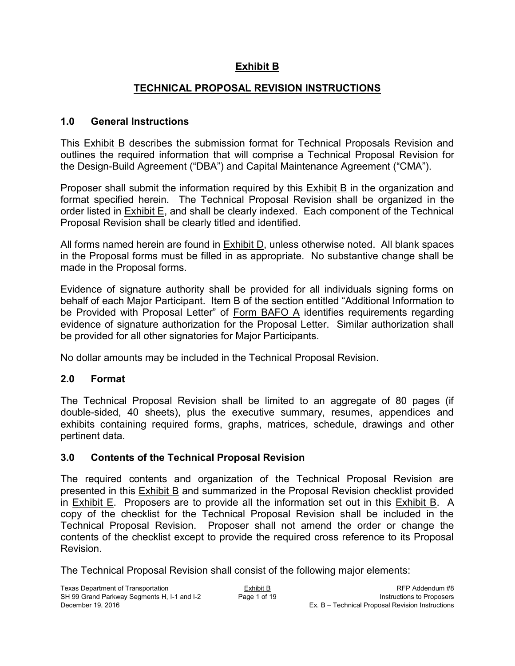### **Exhibit B**

### **TECHNICAL PROPOSAL REVISION INSTRUCTIONS**

#### **1.0 General Instructions**

This Exhibit B describes the submission format for Technical Proposals Revision and outlines the required information that will comprise a Technical Proposal Revision for the Design-Build Agreement ("DBA") and Capital Maintenance Agreement ("CMA").

Proposer shall submit the information required by this Exhibit B in the organization and format specified herein. The Technical Proposal Revision shall be organized in the order listed in Exhibit E, and shall be clearly indexed. Each component of the Technical Proposal Revision shall be clearly titled and identified.

All forms named herein are found in Exhibit D, unless otherwise noted. All blank spaces in the Proposal forms must be filled in as appropriate. No substantive change shall be made in the Proposal forms.

Evidence of signature authority shall be provided for all individuals signing forms on behalf of each Major Participant. Item B of the section entitled "Additional Information to be Provided with Proposal Letter" of Form BAFO A identifies requirements regarding evidence of signature authorization for the Proposal Letter. Similar authorization shall be provided for all other signatories for Major Participants.

No dollar amounts may be included in the Technical Proposal Revision.

#### **2.0 Format**

The Technical Proposal Revision shall be limited to an aggregate of 80 pages (if double-sided, 40 sheets), plus the executive summary, resumes, appendices and exhibits containing required forms, graphs, matrices, schedule, drawings and other pertinent data.

#### **3.0 Contents of the Technical Proposal Revision**

The required contents and organization of the Technical Proposal Revision are presented in this Exhibit B and summarized in the Proposal Revision checklist provided in Exhibit E. Proposers are to provide all the information set out in this Exhibit B. A copy of the checklist for the Technical Proposal Revision shall be included in the Technical Proposal Revision. Proposer shall not amend the order or change the contents of the checklist except to provide the required cross reference to its Proposal Revision.

The Technical Proposal Revision shall consist of the following major elements: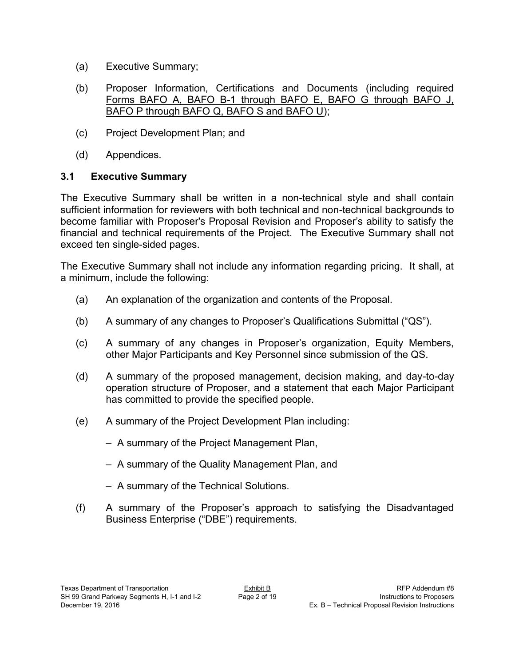- (a) Executive Summary;
- (b) Proposer Information, Certifications and Documents (including required Forms BAFO A, BAFO B-1 through BAFO E, BAFO G through BAFO J, BAFO P through BAFO Q, BAFO S and BAFO U);
- (c) Project Development Plan; and
- (d) Appendices.

### **3.1 Executive Summary**

The Executive Summary shall be written in a non-technical style and shall contain sufficient information for reviewers with both technical and non-technical backgrounds to become familiar with Proposer's Proposal Revision and Proposer's ability to satisfy the financial and technical requirements of the Project. The Executive Summary shall not exceed ten single-sided pages.

The Executive Summary shall not include any information regarding pricing. It shall, at a minimum, include the following:

- (a) An explanation of the organization and contents of the Proposal.
- (b) A summary of any changes to Proposer's Qualifications Submittal ("QS").
- (c) A summary of any changes in Proposer's organization, Equity Members, other Major Participants and Key Personnel since submission of the QS.
- (d) A summary of the proposed management, decision making, and day-to-day operation structure of Proposer, and a statement that each Major Participant has committed to provide the specified people.
- (e) A summary of the Project Development Plan including:
	- A summary of the Project Management Plan,
	- A summary of the Quality Management Plan, and
	- A summary of the Technical Solutions.
- (f) A summary of the Proposer's approach to satisfying the Disadvantaged Business Enterprise ("DBE") requirements.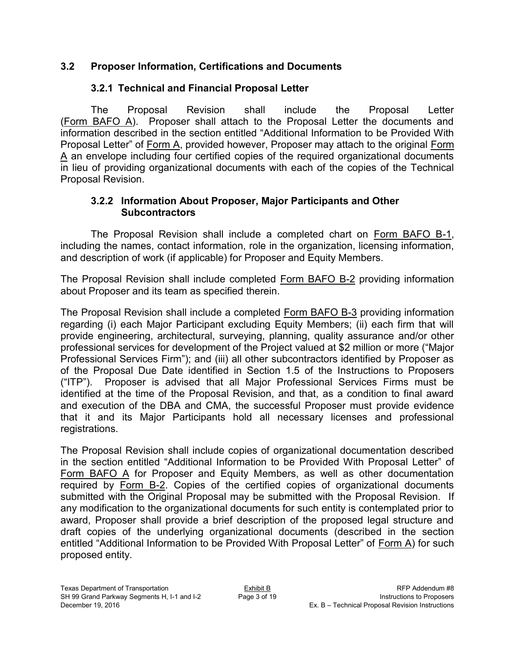#### **3.2 Proposer Information, Certifications and Documents**

### **3.2.1 Technical and Financial Proposal Letter**

The Proposal Revision shall include the Proposal Letter (Form BAFO A). Proposer shall attach to the Proposal Letter the documents and information described in the section entitled "Additional Information to be Provided With Proposal Letter" of Form A, provided however, Proposer may attach to the original Form A an envelope including four certified copies of the required organizational documents in lieu of providing organizational documents with each of the copies of the Technical Proposal Revision.

#### **3.2.2 Information About Proposer, Major Participants and Other Subcontractors**

The Proposal Revision shall include a completed chart on Form BAFO B-1, including the names, contact information, role in the organization, licensing information, and description of work (if applicable) for Proposer and Equity Members.

The Proposal Revision shall include completed Form BAFO B-2 providing information about Proposer and its team as specified therein.

The Proposal Revision shall include a completed Form BAFO B-3 providing information regarding (i) each Major Participant excluding Equity Members; (ii) each firm that will provide engineering, architectural, surveying, planning, quality assurance and/or other professional services for development of the Project valued at \$2 million or more ("Major Professional Services Firm"); and (iii) all other subcontractors identified by Proposer as of the Proposal Due Date identified in Section 1.5 of the Instructions to Proposers ("ITP"). Proposer is advised that all Major Professional Services Firms must be identified at the time of the Proposal Revision, and that, as a condition to final award and execution of the DBA and CMA, the successful Proposer must provide evidence that it and its Major Participants hold all necessary licenses and professional registrations.

The Proposal Revision shall include copies of organizational documentation described in the section entitled "Additional Information to be Provided With Proposal Letter" of Form BAFO A for Proposer and Equity Members, as well as other documentation required by Form B-2. Copies of the certified copies of organizational documents submitted with the Original Proposal may be submitted with the Proposal Revision. If any modification to the organizational documents for such entity is contemplated prior to award, Proposer shall provide a brief description of the proposed legal structure and draft copies of the underlying organizational documents (described in the section entitled "Additional Information to be Provided With Proposal Letter" of Form A) for such proposed entity.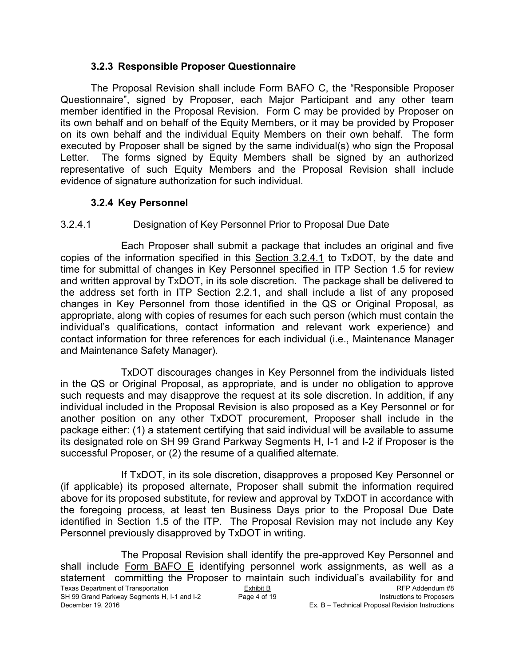#### **3.2.3 Responsible Proposer Questionnaire**

The Proposal Revision shall include Form BAFO C, the "Responsible Proposer Questionnaire", signed by Proposer, each Major Participant and any other team member identified in the Proposal Revision. Form C may be provided by Proposer on its own behalf and on behalf of the Equity Members, or it may be provided by Proposer on its own behalf and the individual Equity Members on their own behalf. The form executed by Proposer shall be signed by the same individual(s) who sign the Proposal Letter. The forms signed by Equity Members shall be signed by an authorized representative of such Equity Members and the Proposal Revision shall include evidence of signature authorization for such individual.

#### **3.2.4 Key Personnel**

### 3.2.4.1 Designation of Key Personnel Prior to Proposal Due Date

Each Proposer shall submit a package that includes an original and five copies of the information specified in this Section 3.2.4.1 to TxDOT, by the date and time for submittal of changes in Key Personnel specified in ITP Section 1.5 for review and written approval by TxDOT, in its sole discretion. The package shall be delivered to the address set forth in ITP Section 2.2.1, and shall include a list of any proposed changes in Key Personnel from those identified in the QS or Original Proposal, as appropriate, along with copies of resumes for each such person (which must contain the individual's qualifications, contact information and relevant work experience) and contact information for three references for each individual (i.e., Maintenance Manager and Maintenance Safety Manager).

TxDOT discourages changes in Key Personnel from the individuals listed in the QS or Original Proposal, as appropriate, and is under no obligation to approve such requests and may disapprove the request at its sole discretion. In addition, if any individual included in the Proposal Revision is also proposed as a Key Personnel or for another position on any other TxDOT procurement, Proposer shall include in the package either: (1) a statement certifying that said individual will be available to assume its designated role on SH 99 Grand Parkway Segments H, I-1 and I-2 if Proposer is the successful Proposer, or (2) the resume of a qualified alternate.

If TxDOT, in its sole discretion, disapproves a proposed Key Personnel or (if applicable) its proposed alternate, Proposer shall submit the information required above for its proposed substitute, for review and approval by TxDOT in accordance with the foregoing process, at least ten Business Days prior to the Proposal Due Date identified in Section 1.5 of the ITP. The Proposal Revision may not include any Key Personnel previously disapproved by TxDOT in writing.

Texas Department of Transportation Exhibit B<br>
SH 99 Grand Parkway Segments H, I-1 and I-2 Page 4 of 19 Page 4 19 Instructions to Proposers SH 99 Grand Parkway Segments H, I-1 and I-2 Page 4 of 19 Instructions to Proposers<br>Ex. B – Technical Proposal Revision Instructions Ex. B – Technical Proposal Revision Instructions The Proposal Revision shall identify the pre-approved Key Personnel and shall include Form BAFO E identifying personnel work assignments, as well as a statement committing the Proposer to maintain such individual's availability for and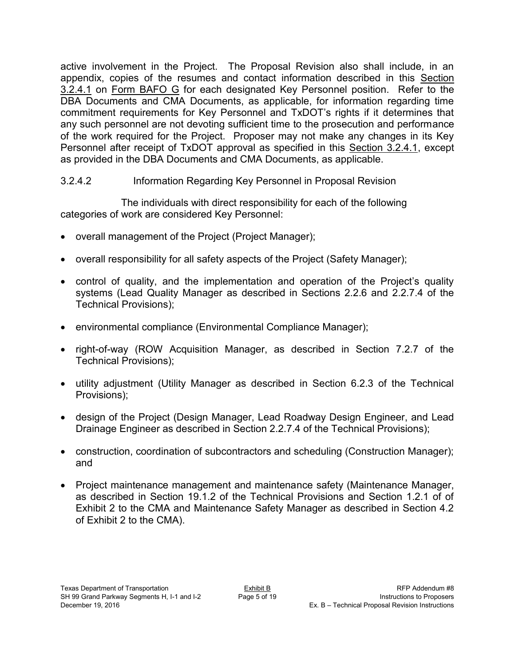active involvement in the Project. The Proposal Revision also shall include, in an appendix, copies of the resumes and contact information described in this Section 3.2.4.1 on Form BAFO G for each designated Key Personnel position. Refer to the DBA Documents and CMA Documents, as applicable, for information regarding time commitment requirements for Key Personnel and TxDOT's rights if it determines that any such personnel are not devoting sufficient time to the prosecution and performance of the work required for the Project. Proposer may not make any changes in its Key Personnel after receipt of TxDOT approval as specified in this Section 3.2.4.1, except as provided in the DBA Documents and CMA Documents, as applicable.

#### 3.2.4.2 Information Regarding Key Personnel in Proposal Revision

The individuals with direct responsibility for each of the following categories of work are considered Key Personnel:

- overall management of the Project (Project Manager);
- overall responsibility for all safety aspects of the Project (Safety Manager);
- control of quality, and the implementation and operation of the Project's quality systems (Lead Quality Manager as described in Sections 2.2.6 and 2.2.7.4 of the Technical Provisions);
- environmental compliance (Environmental Compliance Manager);
- right-of-way (ROW Acquisition Manager, as described in Section 7.2.7 of the Technical Provisions);
- utility adjustment (Utility Manager as described in Section 6.2.3 of the Technical Provisions);
- design of the Project (Design Manager, Lead Roadway Design Engineer, and Lead Drainage Engineer as described in Section 2.2.7.4 of the Technical Provisions);
- construction, coordination of subcontractors and scheduling (Construction Manager); and
- Project maintenance management and maintenance safety (Maintenance Manager, as described in Section 19.1.2 of the Technical Provisions and Section 1.2.1 of of Exhibit 2 to the CMA and Maintenance Safety Manager as described in Section 4.2 of Exhibit 2 to the CMA).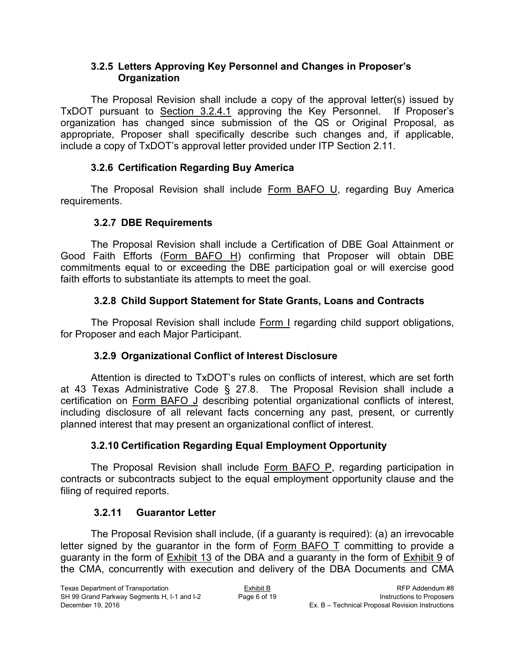#### **3.2.5 Letters Approving Key Personnel and Changes in Proposer's Organization**

The Proposal Revision shall include a copy of the approval letter(s) issued by TxDOT pursuant to Section 3.2.4.1 approving the Key Personnel. If Proposer's organization has changed since submission of the QS or Original Proposal, as appropriate, Proposer shall specifically describe such changes and, if applicable, include a copy of TxDOT's approval letter provided under ITP Section 2.11.

# **3.2.6 Certification Regarding Buy America**

The Proposal Revision shall include Form BAFO U, regarding Buy America requirements.

# **3.2.7 DBE Requirements**

The Proposal Revision shall include a Certification of DBE Goal Attainment or Good Faith Efforts (Form BAFO H) confirming that Proposer will obtain DBE commitments equal to or exceeding the DBE participation goal or will exercise good faith efforts to substantiate its attempts to meet the goal.

# **3.2.8 Child Support Statement for State Grants, Loans and Contracts**

The Proposal Revision shall include Form I regarding child support obligations, for Proposer and each Major Participant.

# **3.2.9 Organizational Conflict of Interest Disclosure**

Attention is directed to TxDOT's rules on conflicts of interest, which are set forth at 43 Texas Administrative Code § 27.8. The Proposal Revision shall include a certification on Form BAFO J describing potential organizational conflicts of interest, including disclosure of all relevant facts concerning any past, present, or currently planned interest that may present an organizational conflict of interest.

# **3.2.10 Certification Regarding Equal Employment Opportunity**

The Proposal Revision shall include Form BAFO P, regarding participation in contracts or subcontracts subject to the equal employment opportunity clause and the filing of required reports.

# **3.2.11 Guarantor Letter**

The Proposal Revision shall include, (if a guaranty is required): (a) an irrevocable letter signed by the guarantor in the form of Form BAFO T committing to provide a guaranty in the form of Exhibit 13 of the DBA and a guaranty in the form of Exhibit 9 of the CMA, concurrently with execution and delivery of the DBA Documents and CMA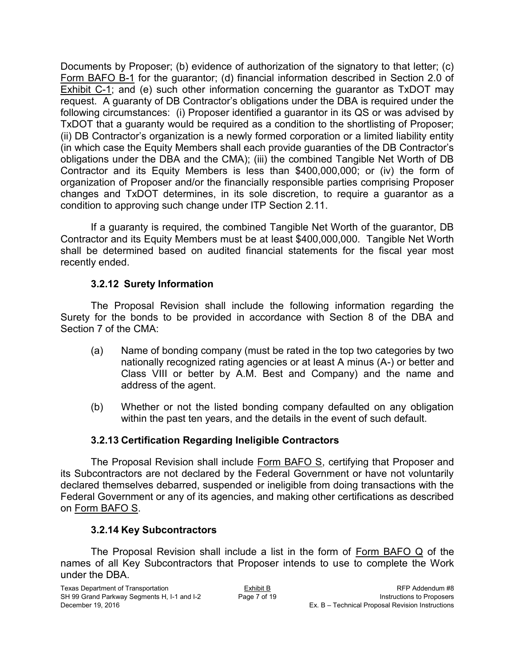Documents by Proposer; (b) evidence of authorization of the signatory to that letter; (c) Form BAFO B-1 for the guarantor; (d) financial information described in Section 2.0 of Exhibit C-1; and (e) such other information concerning the guarantor as TxDOT may request. A guaranty of DB Contractor's obligations under the DBA is required under the following circumstances: (i) Proposer identified a guarantor in its QS or was advised by TxDOT that a guaranty would be required as a condition to the shortlisting of Proposer; (ii) DB Contractor's organization is a newly formed corporation or a limited liability entity (in which case the Equity Members shall each provide guaranties of the DB Contractor's obligations under the DBA and the CMA); (iii) the combined Tangible Net Worth of DB Contractor and its Equity Members is less than \$400,000,000; or (iv) the form of organization of Proposer and/or the financially responsible parties comprising Proposer changes and TxDOT determines, in its sole discretion, to require a guarantor as a condition to approving such change under ITP Section 2.11.

If a guaranty is required, the combined Tangible Net Worth of the guarantor, DB Contractor and its Equity Members must be at least \$400,000,000. Tangible Net Worth shall be determined based on audited financial statements for the fiscal year most recently ended.

#### **3.2.12 Surety Information**

The Proposal Revision shall include the following information regarding the Surety for the bonds to be provided in accordance with Section 8 of the DBA and Section 7 of the CMA:

- (a) Name of bonding company (must be rated in the top two categories by two nationally recognized rating agencies or at least A minus (A-) or better and Class VIII or better by A.M. Best and Company) and the name and address of the agent.
- (b) Whether or not the listed bonding company defaulted on any obligation within the past ten years, and the details in the event of such default.

# **3.2.13 Certification Regarding Ineligible Contractors**

The Proposal Revision shall include Form BAFO S, certifying that Proposer and its Subcontractors are not declared by the Federal Government or have not voluntarily declared themselves debarred, suspended or ineligible from doing transactions with the Federal Government or any of its agencies, and making other certifications as described on Form BAFO S.

#### **3.2.14 Key Subcontractors**

The Proposal Revision shall include a list in the form of Form BAFO Q of the names of all Key Subcontractors that Proposer intends to use to complete the Work under the DBA.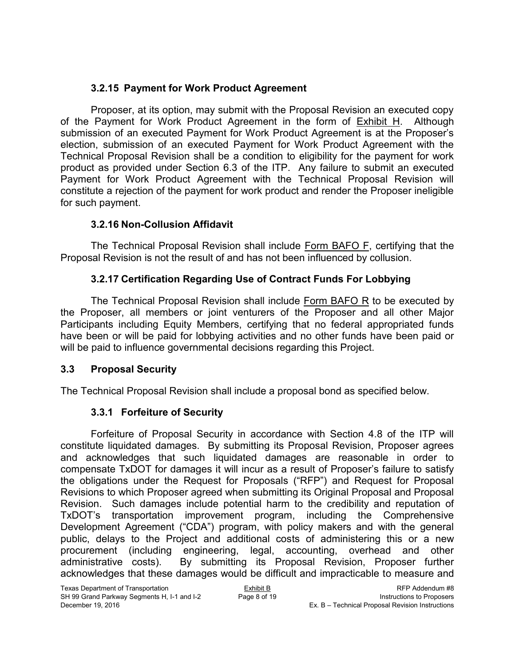### **3.2.15 Payment for Work Product Agreement**

Proposer, at its option, may submit with the Proposal Revision an executed copy of the Payment for Work Product Agreement in the form of Exhibit H. Although submission of an executed Payment for Work Product Agreement is at the Proposer's election, submission of an executed Payment for Work Product Agreement with the Technical Proposal Revision shall be a condition to eligibility for the payment for work product as provided under Section 6.3 of the ITP. Any failure to submit an executed Payment for Work Product Agreement with the Technical Proposal Revision will constitute a rejection of the payment for work product and render the Proposer ineligible for such payment.

### **3.2.16 Non-Collusion Affidavit**

The Technical Proposal Revision shall include Form BAFO F, certifying that the Proposal Revision is not the result of and has not been influenced by collusion.

### **3.2.17 Certification Regarding Use of Contract Funds For Lobbying**

The Technical Proposal Revision shall include Form BAFO R to be executed by the Proposer, all members or joint venturers of the Proposer and all other Major Participants including Equity Members, certifying that no federal appropriated funds have been or will be paid for lobbying activities and no other funds have been paid or will be paid to influence governmental decisions regarding this Project.

#### **3.3 Proposal Security**

The Technical Proposal Revision shall include a proposal bond as specified below.

# **3.3.1 Forfeiture of Security**

Forfeiture of Proposal Security in accordance with Section 4.8 of the ITP will constitute liquidated damages. By submitting its Proposal Revision, Proposer agrees and acknowledges that such liquidated damages are reasonable in order to compensate TxDOT for damages it will incur as a result of Proposer's failure to satisfy the obligations under the Request for Proposals ("RFP") and Request for Proposal Revisions to which Proposer agreed when submitting its Original Proposal and Proposal Revision. Such damages include potential harm to the credibility and reputation of TxDOT's transportation improvement program, including the Comprehensive Development Agreement ("CDA") program, with policy makers and with the general public, delays to the Project and additional costs of administering this or a new procurement (including engineering, legal, accounting, overhead and other administrative costs). By submitting its Proposal Revision, Proposer further acknowledges that these damages would be difficult and impracticable to measure and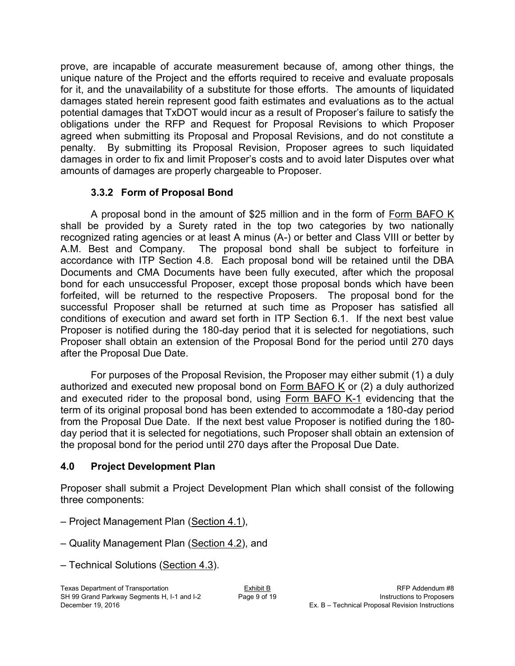prove, are incapable of accurate measurement because of, among other things, the unique nature of the Project and the efforts required to receive and evaluate proposals for it, and the unavailability of a substitute for those efforts. The amounts of liquidated damages stated herein represent good faith estimates and evaluations as to the actual potential damages that TxDOT would incur as a result of Proposer's failure to satisfy the obligations under the RFP and Request for Proposal Revisions to which Proposer agreed when submitting its Proposal and Proposal Revisions, and do not constitute a penalty. By submitting its Proposal Revision, Proposer agrees to such liquidated damages in order to fix and limit Proposer's costs and to avoid later Disputes over what amounts of damages are properly chargeable to Proposer.

### **3.3.2 Form of Proposal Bond**

A proposal bond in the amount of \$25 million and in the form of Form BAFO K shall be provided by a Surety rated in the top two categories by two nationally recognized rating agencies or at least A minus (A-) or better and Class VIII or better by A.M. Best and Company. The proposal bond shall be subject to forfeiture in accordance with ITP Section 4.8. Each proposal bond will be retained until the DBA Documents and CMA Documents have been fully executed, after which the proposal bond for each unsuccessful Proposer, except those proposal bonds which have been forfeited, will be returned to the respective Proposers. The proposal bond for the successful Proposer shall be returned at such time as Proposer has satisfied all conditions of execution and award set forth in ITP Section 6.1. If the next best value Proposer is notified during the 180-day period that it is selected for negotiations, such Proposer shall obtain an extension of the Proposal Bond for the period until 270 days after the Proposal Due Date.

For purposes of the Proposal Revision, the Proposer may either submit (1) a duly authorized and executed new proposal bond on Form BAFO K or  $(2)$  a duly authorized and executed rider to the proposal bond, using Form BAFO K-1 evidencing that the term of its original proposal bond has been extended to accommodate a 180-day period from the Proposal Due Date. If the next best value Proposer is notified during the 180 day period that it is selected for negotiations, such Proposer shall obtain an extension of the proposal bond for the period until 270 days after the Proposal Due Date.

#### **4.0 Project Development Plan**

Proposer shall submit a Project Development Plan which shall consist of the following three components:

– Project Management Plan (Section 4.1),

– Quality Management Plan (Section 4.2), and

– Technical Solutions (Section 4.3).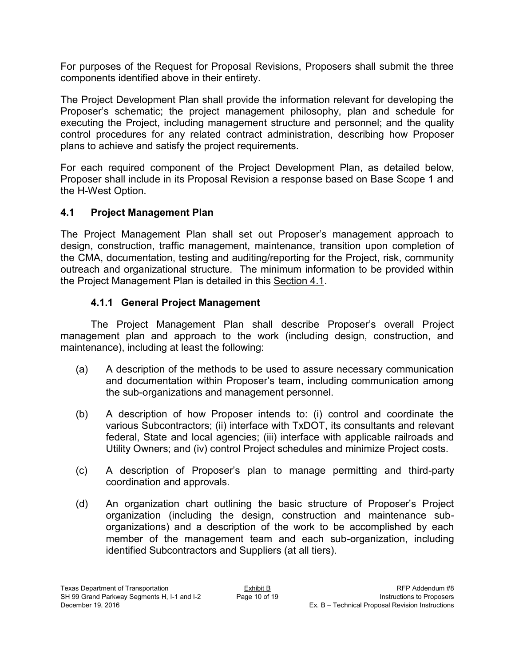For purposes of the Request for Proposal Revisions, Proposers shall submit the three components identified above in their entirety.

The Project Development Plan shall provide the information relevant for developing the Proposer's schematic; the project management philosophy, plan and schedule for executing the Project, including management structure and personnel; and the quality control procedures for any related contract administration, describing how Proposer plans to achieve and satisfy the project requirements.

For each required component of the Project Development Plan, as detailed below, Proposer shall include in its Proposal Revision a response based on Base Scope 1 and the H-West Option.

### **4.1 Project Management Plan**

The Project Management Plan shall set out Proposer's management approach to design, construction, traffic management, maintenance, transition upon completion of the CMA, documentation, testing and auditing/reporting for the Project, risk, community outreach and organizational structure. The minimum information to be provided within the Project Management Plan is detailed in this Section 4.1.

### **4.1.1 General Project Management**

The Project Management Plan shall describe Proposer's overall Project management plan and approach to the work (including design, construction, and maintenance), including at least the following:

- (a) A description of the methods to be used to assure necessary communication and documentation within Proposer's team, including communication among the sub-organizations and management personnel.
- (b) A description of how Proposer intends to: (i) control and coordinate the various Subcontractors; (ii) interface with TxDOT, its consultants and relevant federal, State and local agencies; (iii) interface with applicable railroads and Utility Owners; and (iv) control Project schedules and minimize Project costs.
- (c) A description of Proposer's plan to manage permitting and third-party coordination and approvals.
- (d) An organization chart outlining the basic structure of Proposer's Project organization (including the design, construction and maintenance suborganizations) and a description of the work to be accomplished by each member of the management team and each sub-organization, including identified Subcontractors and Suppliers (at all tiers).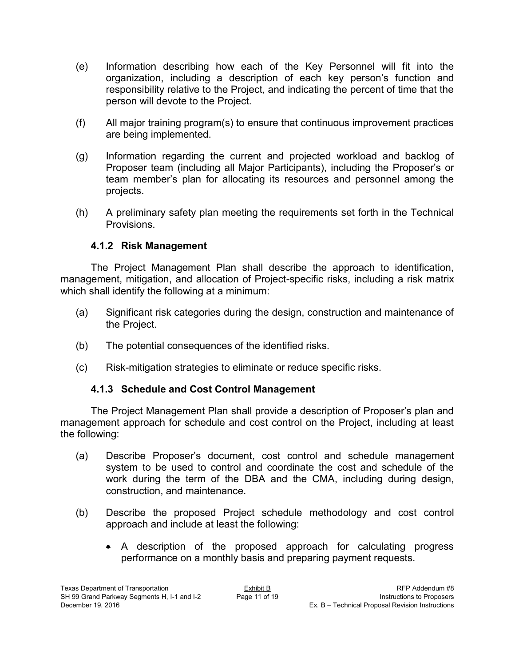- (e) Information describing how each of the Key Personnel will fit into the organization, including a description of each key person's function and responsibility relative to the Project, and indicating the percent of time that the person will devote to the Project.
- (f) All major training program(s) to ensure that continuous improvement practices are being implemented.
- (g) Information regarding the current and projected workload and backlog of Proposer team (including all Major Participants), including the Proposer's or team member's plan for allocating its resources and personnel among the projects.
- (h) A preliminary safety plan meeting the requirements set forth in the Technical Provisions.

#### **4.1.2 Risk Management**

The Project Management Plan shall describe the approach to identification, management, mitigation, and allocation of Project-specific risks, including a risk matrix which shall identify the following at a minimum:

- (a) Significant risk categories during the design, construction and maintenance of the Project.
- (b) The potential consequences of the identified risks.
- (c) Risk-mitigation strategies to eliminate or reduce specific risks.

#### **4.1.3 Schedule and Cost Control Management**

The Project Management Plan shall provide a description of Proposer's plan and management approach for schedule and cost control on the Project, including at least the following:

- (a) Describe Proposer's document, cost control and schedule management system to be used to control and coordinate the cost and schedule of the work during the term of the DBA and the CMA, including during design, construction, and maintenance.
- (b) Describe the proposed Project schedule methodology and cost control approach and include at least the following:
	- A description of the proposed approach for calculating progress performance on a monthly basis and preparing payment requests.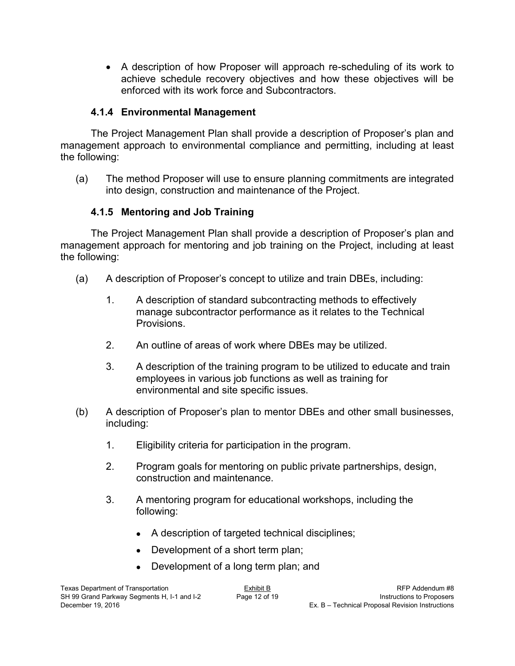A description of how Proposer will approach re-scheduling of its work to achieve schedule recovery objectives and how these objectives will be enforced with its work force and Subcontractors.

#### **4.1.4 Environmental Management**

The Project Management Plan shall provide a description of Proposer's plan and management approach to environmental compliance and permitting, including at least the following:

(a) The method Proposer will use to ensure planning commitments are integrated into design, construction and maintenance of the Project.

# **4.1.5 Mentoring and Job Training**

The Project Management Plan shall provide a description of Proposer's plan and management approach for mentoring and job training on the Project, including at least the following:

- (a) A description of Proposer's concept to utilize and train DBEs, including:
	- 1. A description of standard subcontracting methods to effectively manage subcontractor performance as it relates to the Technical Provisions.
	- 2. An outline of areas of work where DBEs may be utilized.
	- 3. A description of the training program to be utilized to educate and train employees in various job functions as well as training for environmental and site specific issues.
- (b) A description of Proposer's plan to mentor DBEs and other small businesses, including:
	- 1. Eligibility criteria for participation in the program.
	- 2. Program goals for mentoring on public private partnerships, design, construction and maintenance.
	- 3. A mentoring program for educational workshops, including the following:
		- A description of targeted technical disciplines;
		- Development of a short term plan;
		- Development of a long term plan; and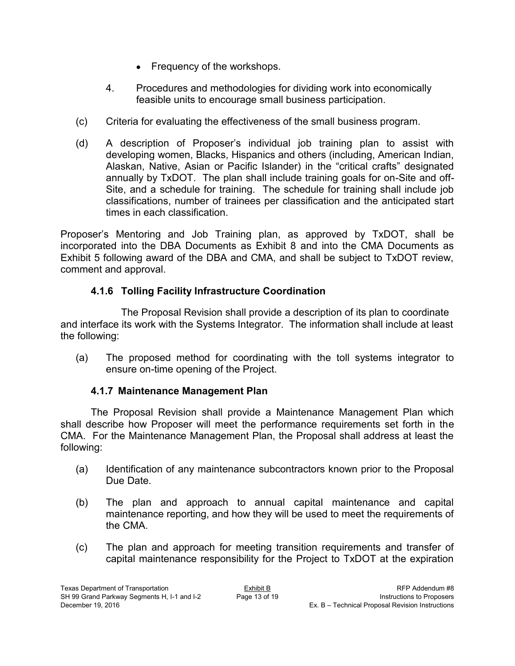- Frequency of the workshops.
- 4. Procedures and methodologies for dividing work into economically feasible units to encourage small business participation.
- (c) Criteria for evaluating the effectiveness of the small business program.
- (d) A description of Proposer's individual job training plan to assist with developing women, Blacks, Hispanics and others (including, American Indian, Alaskan, Native, Asian or Pacific Islander) in the "critical crafts" designated annually by TxDOT. The plan shall include training goals for on-Site and off-Site, and a schedule for training. The schedule for training shall include job classifications, number of trainees per classification and the anticipated start times in each classification.

Proposer's Mentoring and Job Training plan, as approved by TxDOT, shall be incorporated into the DBA Documents as Exhibit 8 and into the CMA Documents as Exhibit 5 following award of the DBA and CMA, and shall be subject to TxDOT review, comment and approval.

# **4.1.6 Tolling Facility Infrastructure Coordination**

The Proposal Revision shall provide a description of its plan to coordinate and interface its work with the Systems Integrator. The information shall include at least the following:

(a) The proposed method for coordinating with the toll systems integrator to ensure on-time opening of the Project.

# **4.1.7 Maintenance Management Plan**

The Proposal Revision shall provide a Maintenance Management Plan which shall describe how Proposer will meet the performance requirements set forth in the CMA. For the Maintenance Management Plan, the Proposal shall address at least the following:

- (a) Identification of any maintenance subcontractors known prior to the Proposal Due Date.
- (b) The plan and approach to annual capital maintenance and capital maintenance reporting, and how they will be used to meet the requirements of the CMA.
- (c) The plan and approach for meeting transition requirements and transfer of capital maintenance responsibility for the Project to TxDOT at the expiration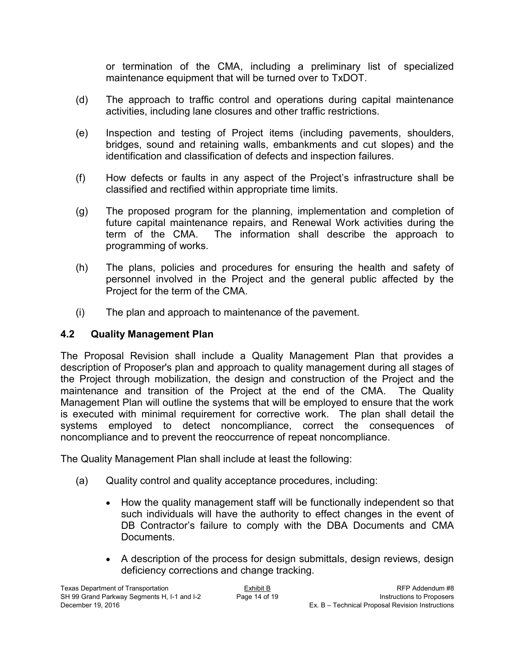or termination of the CMA, including a preliminary list of specialized maintenance equipment that will be turned over to TxDOT.

- (d) The approach to traffic control and operations during capital maintenance activities, including lane closures and other traffic restrictions.
- (e) Inspection and testing of Project items (including pavements, shoulders, bridges, sound and retaining walls, embankments and cut slopes) and the identification and classification of defects and inspection failures.
- (f) How defects or faults in any aspect of the Project's infrastructure shall be classified and rectified within appropriate time limits.
- (g) The proposed program for the planning, implementation and completion of future capital maintenance repairs, and Renewal Work activities during the term of the CMA. The information shall describe the approach to programming of works.
- (h) The plans, policies and procedures for ensuring the health and safety of personnel involved in the Project and the general public affected by the Project for the term of the CMA.
- (i) The plan and approach to maintenance of the pavement.

### **4.2 Quality Management Plan**

The Proposal Revision shall include a Quality Management Plan that provides a description of Proposer's plan and approach to quality management during all stages of the Project through mobilization, the design and construction of the Project and the maintenance and transition of the Project at the end of the CMA. The Quality Management Plan will outline the systems that will be employed to ensure that the work is executed with minimal requirement for corrective work. The plan shall detail the systems employed to detect noncompliance, correct the consequences of noncompliance and to prevent the reoccurrence of repeat noncompliance.

The Quality Management Plan shall include at least the following:

- (a) Quality control and quality acceptance procedures, including:
	- How the quality management staff will be functionally independent so that such individuals will have the authority to effect changes in the event of DB Contractor's failure to comply with the DBA Documents and CMA Documents.
	- A description of the process for design submittals, design reviews, design deficiency corrections and change tracking.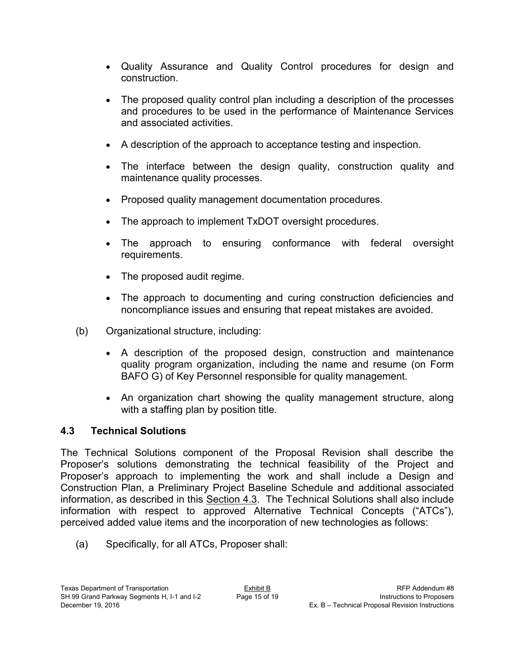- Quality Assurance and Quality Control procedures for design and construction.
- The proposed quality control plan including a description of the processes and procedures to be used in the performance of Maintenance Services and associated activities.
- A description of the approach to acceptance testing and inspection.
- The interface between the design quality, construction quality and maintenance quality processes.
- Proposed quality management documentation procedures.
- The approach to implement TxDOT oversight procedures.
- The approach to ensuring conformance with federal oversight requirements.
- The proposed audit regime.
- The approach to documenting and curing construction deficiencies and noncompliance issues and ensuring that repeat mistakes are avoided.
- (b) Organizational structure, including:
	- A description of the proposed design, construction and maintenance quality program organization, including the name and resume (on Form BAFO G) of Key Personnel responsible for quality management.
	- An organization chart showing the quality management structure, along with a staffing plan by position title.

# **4.3 Technical Solutions**

The Technical Solutions component of the Proposal Revision shall describe the Proposer's solutions demonstrating the technical feasibility of the Project and Proposer's approach to implementing the work and shall include a Design and Construction Plan, a Preliminary Project Baseline Schedule and additional associated information, as described in this Section 4.3. The Technical Solutions shall also include information with respect to approved Alternative Technical Concepts ("ATCs"), perceived added value items and the incorporation of new technologies as follows:

(a) Specifically, for all ATCs, Proposer shall: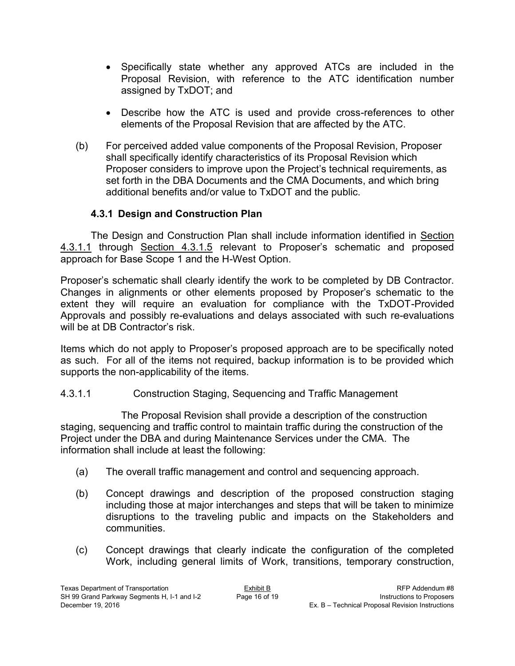- Specifically state whether any approved ATCs are included in the Proposal Revision, with reference to the ATC identification number assigned by TxDOT; and
- Describe how the ATC is used and provide cross-references to other elements of the Proposal Revision that are affected by the ATC.
- (b) For perceived added value components of the Proposal Revision, Proposer shall specifically identify characteristics of its Proposal Revision which Proposer considers to improve upon the Project's technical requirements, as set forth in the DBA Documents and the CMA Documents, and which bring additional benefits and/or value to TxDOT and the public.

#### **4.3.1 Design and Construction Plan**

The Design and Construction Plan shall include information identified in Section 4.3.1.1 through Section 4.3.1.5 relevant to Proposer's schematic and proposed approach for Base Scope 1 and the H-West Option.

Proposer's schematic shall clearly identify the work to be completed by DB Contractor. Changes in alignments or other elements proposed by Proposer's schematic to the extent they will require an evaluation for compliance with the TxDOT-Provided Approvals and possibly re-evaluations and delays associated with such re-evaluations will be at DB Contractor's risk.

Items which do not apply to Proposer's proposed approach are to be specifically noted as such. For all of the items not required, backup information is to be provided which supports the non-applicability of the items.

#### 4.3.1.1 Construction Staging, Sequencing and Traffic Management

The Proposal Revision shall provide a description of the construction staging, sequencing and traffic control to maintain traffic during the construction of the Project under the DBA and during Maintenance Services under the CMA. The information shall include at least the following:

- (a) The overall traffic management and control and sequencing approach.
- (b) Concept drawings and description of the proposed construction staging including those at major interchanges and steps that will be taken to minimize disruptions to the traveling public and impacts on the Stakeholders and communities.
- (c) Concept drawings that clearly indicate the configuration of the completed Work, including general limits of Work, transitions, temporary construction,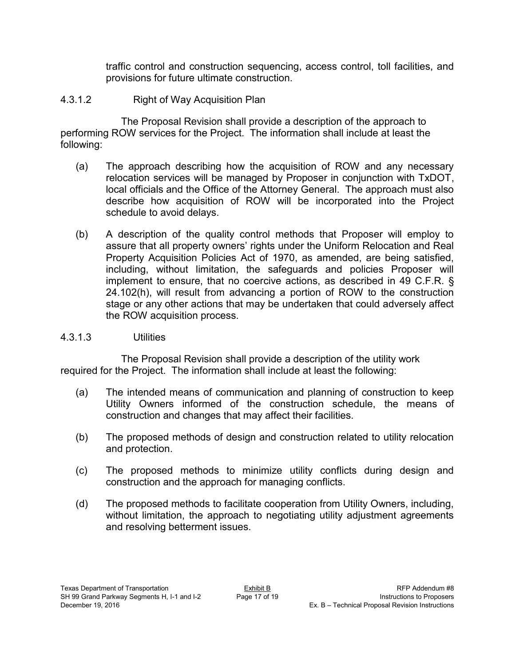traffic control and construction sequencing, access control, toll facilities, and provisions for future ultimate construction.

### 4.3.1.2 Right of Way Acquisition Plan

The Proposal Revision shall provide a description of the approach to performing ROW services for the Project. The information shall include at least the following:

- (a) The approach describing how the acquisition of ROW and any necessary relocation services will be managed by Proposer in conjunction with TxDOT, local officials and the Office of the Attorney General. The approach must also describe how acquisition of ROW will be incorporated into the Project schedule to avoid delays.
- (b) A description of the quality control methods that Proposer will employ to assure that all property owners' rights under the Uniform Relocation and Real Property Acquisition Policies Act of 1970, as amended, are being satisfied, including, without limitation, the safeguards and policies Proposer will implement to ensure, that no coercive actions, as described in 49 C.F.R. § 24.102(h), will result from advancing a portion of ROW to the construction stage or any other actions that may be undertaken that could adversely affect the ROW acquisition process.

#### 4.3.1.3 Utilities

The Proposal Revision shall provide a description of the utility work required for the Project. The information shall include at least the following:

- (a) The intended means of communication and planning of construction to keep Utility Owners informed of the construction schedule, the means of construction and changes that may affect their facilities.
- (b) The proposed methods of design and construction related to utility relocation and protection.
- (c) The proposed methods to minimize utility conflicts during design and construction and the approach for managing conflicts.
- (d) The proposed methods to facilitate cooperation from Utility Owners, including, without limitation, the approach to negotiating utility adjustment agreements and resolving betterment issues.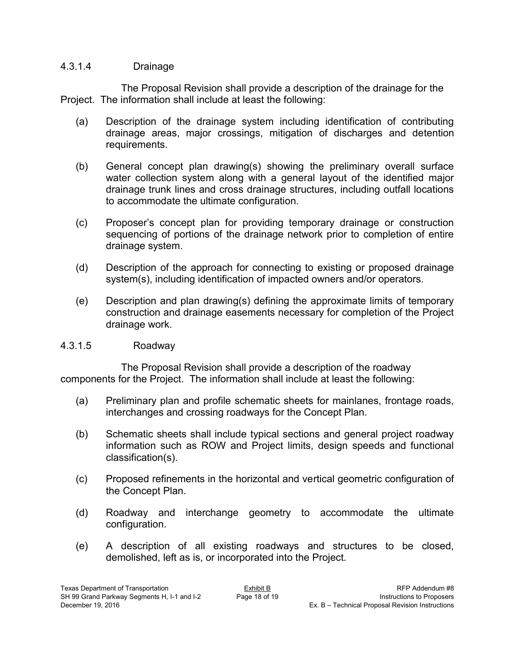#### 4.3.1.4 Drainage

The Proposal Revision shall provide a description of the drainage for the Project. The information shall include at least the following:

- (a) Description of the drainage system including identification of contributing drainage areas, major crossings, mitigation of discharges and detention requirements.
- (b) General concept plan drawing(s) showing the preliminary overall surface water collection system along with a general layout of the identified major drainage trunk lines and cross drainage structures, including outfall locations to accommodate the ultimate configuration.
- (c) Proposer's concept plan for providing temporary drainage or construction sequencing of portions of the drainage network prior to completion of entire drainage system.
- (d) Description of the approach for connecting to existing or proposed drainage system(s), including identification of impacted owners and/or operators.
- (e) Description and plan drawing(s) defining the approximate limits of temporary construction and drainage easements necessary for completion of the Project drainage work.

#### 4.3.1.5 Roadway

The Proposal Revision shall provide a description of the roadway components for the Project. The information shall include at least the following:

- (a) Preliminary plan and profile schematic sheets for mainlanes, frontage roads, interchanges and crossing roadways for the Concept Plan.
- (b) Schematic sheets shall include typical sections and general project roadway information such as ROW and Project limits, design speeds and functional classification(s).
- (c) Proposed refinements in the horizontal and vertical geometric configuration of the Concept Plan.
- (d) Roadway and interchange geometry to accommodate the ultimate configuration.
- (e) A description of all existing roadways and structures to be closed, demolished, left as is, or incorporated into the Project.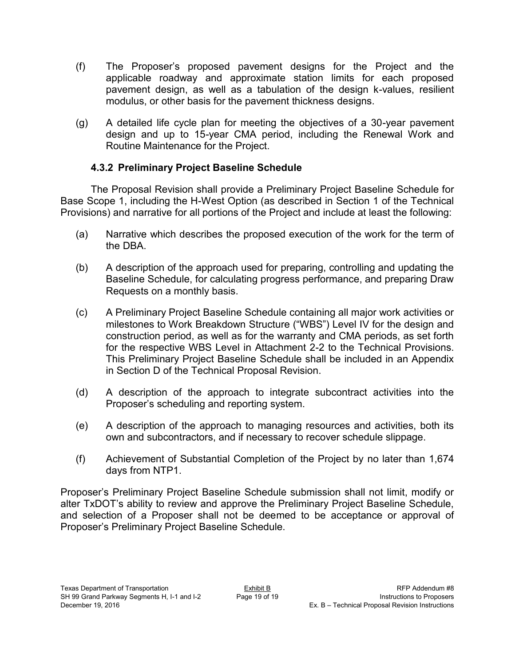- (f) The Proposer's proposed pavement designs for the Project and the applicable roadway and approximate station limits for each proposed pavement design, as well as a tabulation of the design k-values, resilient modulus, or other basis for the pavement thickness designs.
- (g) A detailed life cycle plan for meeting the objectives of a 30-year pavement design and up to 15-year CMA period, including the Renewal Work and Routine Maintenance for the Project.

#### **4.3.2 Preliminary Project Baseline Schedule**

The Proposal Revision shall provide a Preliminary Project Baseline Schedule for Base Scope 1, including the H-West Option (as described in Section 1 of the Technical Provisions) and narrative for all portions of the Project and include at least the following:

- (a) Narrative which describes the proposed execution of the work for the term of the DBA.
- (b) A description of the approach used for preparing, controlling and updating the Baseline Schedule, for calculating progress performance, and preparing Draw Requests on a monthly basis.
- (c) A Preliminary Project Baseline Schedule containing all major work activities or milestones to Work Breakdown Structure ("WBS") Level IV for the design and construction period, as well as for the warranty and CMA periods, as set forth for the respective WBS Level in Attachment 2-2 to the Technical Provisions. This Preliminary Project Baseline Schedule shall be included in an Appendix in Section D of the Technical Proposal Revision.
- (d) A description of the approach to integrate subcontract activities into the Proposer's scheduling and reporting system.
- (e) A description of the approach to managing resources and activities, both its own and subcontractors, and if necessary to recover schedule slippage.
- (f) Achievement of Substantial Completion of the Project by no later than 1,674 days from NTP1.

Proposer's Preliminary Project Baseline Schedule submission shall not limit, modify or alter TxDOT's ability to review and approve the Preliminary Project Baseline Schedule, and selection of a Proposer shall not be deemed to be acceptance or approval of Proposer's Preliminary Project Baseline Schedule.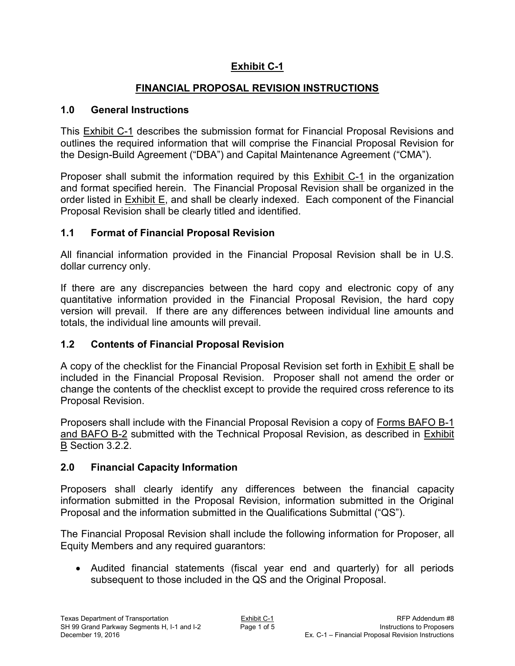# **Exhibit C-1**

# **FINANCIAL PROPOSAL REVISION INSTRUCTIONS**

#### **1.0 General Instructions**

This Exhibit C-1 describes the submission format for Financial Proposal Revisions and outlines the required information that will comprise the Financial Proposal Revision for the Design-Build Agreement ("DBA") and Capital Maintenance Agreement ("CMA").

Proposer shall submit the information required by this Exhibit C-1 in the organization and format specified herein. The Financial Proposal Revision shall be organized in the order listed in Exhibit E, and shall be clearly indexed. Each component of the Financial Proposal Revision shall be clearly titled and identified.

# **1.1 Format of Financial Proposal Revision**

All financial information provided in the Financial Proposal Revision shall be in U.S. dollar currency only.

If there are any discrepancies between the hard copy and electronic copy of any quantitative information provided in the Financial Proposal Revision, the hard copy version will prevail. If there are any differences between individual line amounts and totals, the individual line amounts will prevail.

# **1.2 Contents of Financial Proposal Revision**

A copy of the checklist for the Financial Proposal Revision set forth in Exhibit E shall be included in the Financial Proposal Revision. Proposer shall not amend the order or change the contents of the checklist except to provide the required cross reference to its Proposal Revision.

Proposers shall include with the Financial Proposal Revision a copy of Forms BAFO B-1 and BAFO B-2 submitted with the Technical Proposal Revision, as described in Exhibit B Section 3.2.2.

# **2.0 Financial Capacity Information**

Proposers shall clearly identify any differences between the financial capacity information submitted in the Proposal Revision, information submitted in the Original Proposal and the information submitted in the Qualifications Submittal ("QS").

The Financial Proposal Revision shall include the following information for Proposer, all Equity Members and any required guarantors:

 Audited financial statements (fiscal year end and quarterly) for all periods subsequent to those included in the QS and the Original Proposal.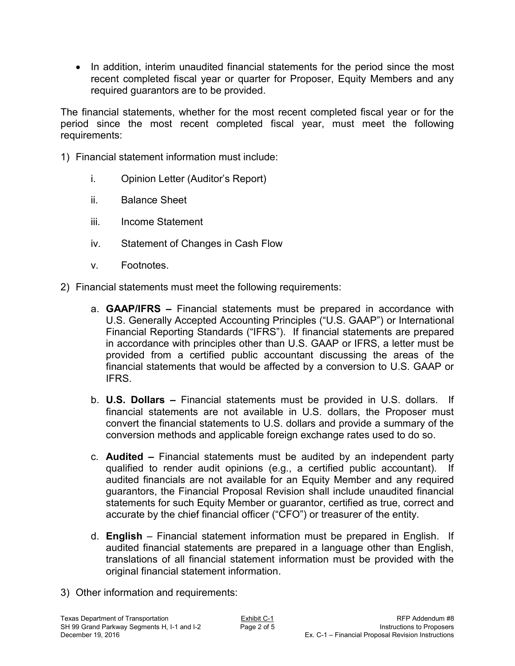• In addition, interim unaudited financial statements for the period since the most recent completed fiscal year or quarter for Proposer, Equity Members and any required guarantors are to be provided.

The financial statements, whether for the most recent completed fiscal year or for the period since the most recent completed fiscal year, must meet the following requirements:

- 1) Financial statement information must include:
	- i. Opinion Letter (Auditor's Report)
	- ii. Balance Sheet
	- iii. Income Statement
	- iv. Statement of Changes in Cash Flow
	- v. Footnotes.
- 2) Financial statements must meet the following requirements:
	- a. **GAAP/IFRS** Financial statements must be prepared in accordance with U.S. Generally Accepted Accounting Principles ("U.S. GAAP") or International Financial Reporting Standards ("IFRS"). If financial statements are prepared in accordance with principles other than U.S. GAAP or IFRS, a letter must be provided from a certified public accountant discussing the areas of the financial statements that would be affected by a conversion to U.S. GAAP or IFRS.
	- b. **U.S. Dollars –** Financial statements must be provided in U.S. dollars. If financial statements are not available in U.S. dollars, the Proposer must convert the financial statements to U.S. dollars and provide a summary of the conversion methods and applicable foreign exchange rates used to do so.
	- c. **Audited –** Financial statements must be audited by an independent party qualified to render audit opinions (e.g., a certified public accountant). If audited financials are not available for an Equity Member and any required guarantors, the Financial Proposal Revision shall include unaudited financial statements for such Equity Member or guarantor, certified as true, correct and accurate by the chief financial officer ("CFO") or treasurer of the entity.
	- d. **English** Financial statement information must be prepared in English. If audited financial statements are prepared in a language other than English, translations of all financial statement information must be provided with the original financial statement information.
- 3) Other information and requirements: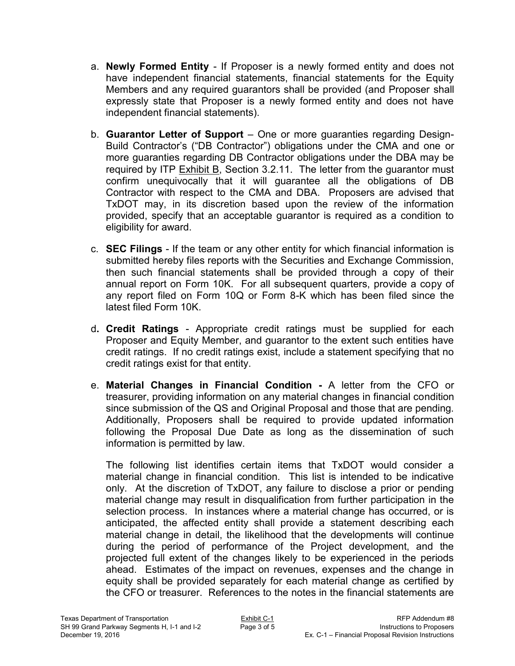- a. **Newly Formed Entity**  If Proposer is a newly formed entity and does not have independent financial statements, financial statements for the Equity Members and any required guarantors shall be provided (and Proposer shall expressly state that Proposer is a newly formed entity and does not have independent financial statements).
- b. **Guarantor Letter of Support**  One or more guaranties regarding Design-Build Contractor's ("DB Contractor") obligations under the CMA and one or more guaranties regarding DB Contractor obligations under the DBA may be required by ITP  $Exhibit B$ , Section 3.2.11. The letter from the guarantor must confirm unequivocally that it will guarantee all the obligations of DB Contractor with respect to the CMA and DBA. Proposers are advised that TxDOT may, in its discretion based upon the review of the information provided, specify that an acceptable guarantor is required as a condition to eligibility for award.
- c. **SEC Filings**  If the team or any other entity for which financial information is submitted hereby files reports with the Securities and Exchange Commission, then such financial statements shall be provided through a copy of their annual report on Form 10K. For all subsequent quarters, provide a copy of any report filed on Form 10Q or Form 8-K which has been filed since the latest filed Form 10K.
- d**. Credit Ratings**  Appropriate credit ratings must be supplied for each Proposer and Equity Member, and guarantor to the extent such entities have credit ratings. If no credit ratings exist, include a statement specifying that no credit ratings exist for that entity.
- e. **Material Changes in Financial Condition** A letter from the CFO or treasurer, providing information on any material changes in financial condition since submission of the QS and Original Proposal and those that are pending. Additionally, Proposers shall be required to provide updated information following the Proposal Due Date as long as the dissemination of such information is permitted by law.

The following list identifies certain items that TxDOT would consider a material change in financial condition. This list is intended to be indicative only. At the discretion of TxDOT, any failure to disclose a prior or pending material change may result in disqualification from further participation in the selection process. In instances where a material change has occurred, or is anticipated, the affected entity shall provide a statement describing each material change in detail, the likelihood that the developments will continue during the period of performance of the Project development, and the projected full extent of the changes likely to be experienced in the periods ahead. Estimates of the impact on revenues, expenses and the change in equity shall be provided separately for each material change as certified by the CFO or treasurer. References to the notes in the financial statements are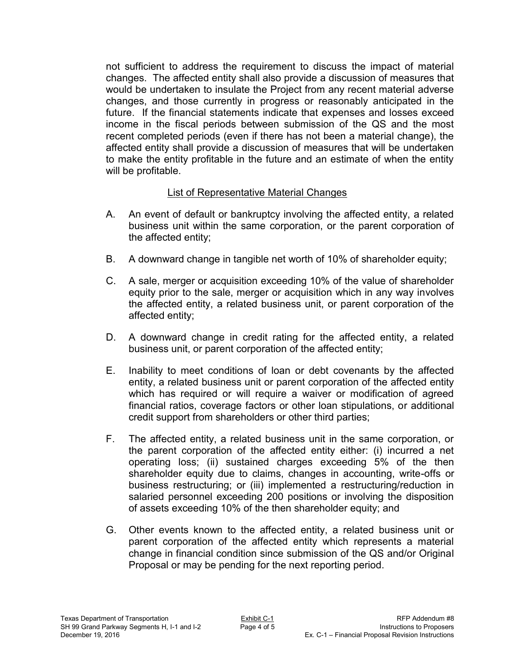not sufficient to address the requirement to discuss the impact of material changes. The affected entity shall also provide a discussion of measures that would be undertaken to insulate the Project from any recent material adverse changes, and those currently in progress or reasonably anticipated in the future. If the financial statements indicate that expenses and losses exceed income in the fiscal periods between submission of the QS and the most recent completed periods (even if there has not been a material change), the affected entity shall provide a discussion of measures that will be undertaken to make the entity profitable in the future and an estimate of when the entity will be profitable.

### List of Representative Material Changes

- A. An event of default or bankruptcy involving the affected entity, a related business unit within the same corporation, or the parent corporation of the affected entity;
- B. A downward change in tangible net worth of 10% of shareholder equity;
- C. A sale, merger or acquisition exceeding 10% of the value of shareholder equity prior to the sale, merger or acquisition which in any way involves the affected entity, a related business unit, or parent corporation of the affected entity;
- D. A downward change in credit rating for the affected entity, a related business unit, or parent corporation of the affected entity;
- E. Inability to meet conditions of loan or debt covenants by the affected entity, a related business unit or parent corporation of the affected entity which has required or will require a waiver or modification of agreed financial ratios, coverage factors or other loan stipulations, or additional credit support from shareholders or other third parties;
- F. The affected entity, a related business unit in the same corporation, or the parent corporation of the affected entity either: (i) incurred a net operating loss; (ii) sustained charges exceeding 5% of the then shareholder equity due to claims, changes in accounting, write-offs or business restructuring; or (iii) implemented a restructuring/reduction in salaried personnel exceeding 200 positions or involving the disposition of assets exceeding 10% of the then shareholder equity; and
- G. Other events known to the affected entity, a related business unit or parent corporation of the affected entity which represents a material change in financial condition since submission of the QS and/or Original Proposal or may be pending for the next reporting period.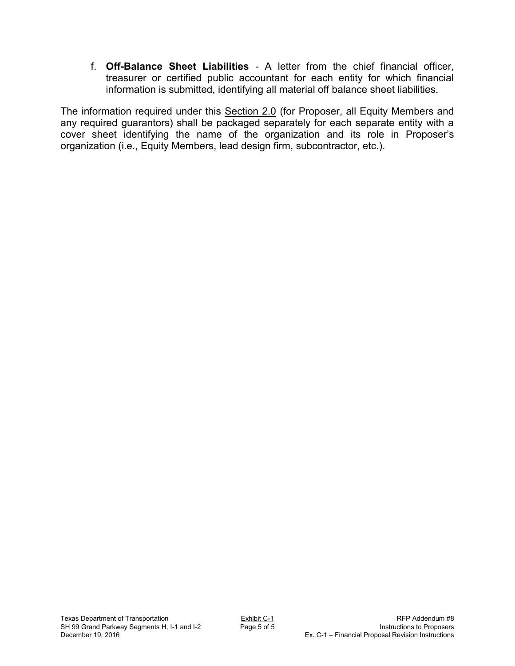f. **Off-Balance Sheet Liabilities** - A letter from the chief financial officer, treasurer or certified public accountant for each entity for which financial information is submitted, identifying all material off balance sheet liabilities.

The information required under this Section 2.0 (for Proposer, all Equity Members and any required guarantors) shall be packaged separately for each separate entity with a cover sheet identifying the name of the organization and its role in Proposer's organization (i.e., Equity Members, lead design firm, subcontractor, etc.).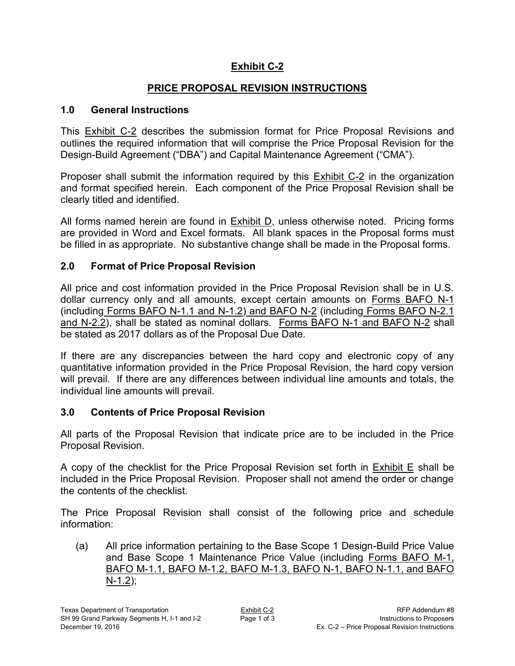# **Exhibit C-2**

# **PRICE PROPOSAL REVISION INSTRUCTIONS**

### **1.0 General Instructions**

This Exhibit C-2 describes the submission format for Price Proposal Revisions and outlines the required information that will comprise the Price Proposal Revision for the Design-Build Agreement ("DBA") and Capital Maintenance Agreement ("CMA").

Proposer shall submit the information required by this Exhibit C-2 in the organization and format specified herein. Each component of the Price Proposal Revision shall be clearly titled and identified.

All forms named herein are found in Exhibit D, unless otherwise noted. Pricing forms are provided in Word and Excel formats. All blank spaces in the Proposal forms must be filled in as appropriate. No substantive change shall be made in the Proposal forms.

# **2.0 Format of Price Proposal Revision**

All price and cost information provided in the Price Proposal Revision shall be in U.S. dollar currency only and all amounts, except certain amounts on Forms BAFO N-1 (including Forms BAFO N-1.1 and N-1.2) and BAFO N-2 (including Forms BAFO N-2.1 and N-2.2), shall be stated as nominal dollars. Forms BAFO N-1 and BAFO N-2 shall be stated as 2017 dollars as of the Proposal Due Date.

If there are any discrepancies between the hard copy and electronic copy of any quantitative information provided in the Price Proposal Revision, the hard copy version will prevail. If there are any differences between individual line amounts and totals, the individual line amounts will prevail.

# **3.0 Contents of Price Proposal Revision**

All parts of the Proposal Revision that indicate price are to be included in the Price Proposal Revision.

A copy of the checklist for the Price Proposal Revision set forth in  $Exhibit E$  shall be included in the Price Proposal Revision. Proposer shall not amend the order or change the contents of the checklist.

The Price Proposal Revision shall consist of the following price and schedule information:

(a) All price information pertaining to the Base Scope 1 Design-Build Price Value and Base Scope 1 Maintenance Price Value (including Forms BAFO M-1, BAFO M-1.1, BAFO M-1.2, BAFO M-1.3, BAFO N-1, BAFO N-1.1, and BAFO N-1.2);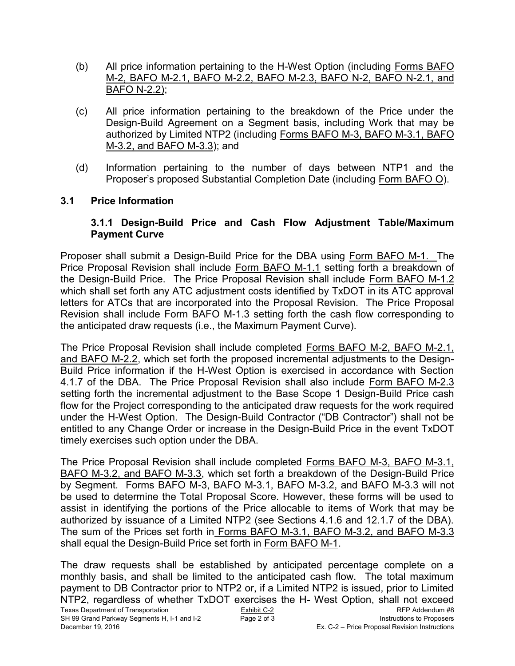- (b) All price information pertaining to the H-West Option (including Forms BAFO M-2, BAFO M-2.1, BAFO M-2.2, BAFO M-2.3, BAFO N-2, BAFO N-2.1, and BAFO N-2.2);
- (c) All price information pertaining to the breakdown of the Price under the Design-Build Agreement on a Segment basis, including Work that may be authorized by Limited NTP2 (including Forms BAFO M-3, BAFO M-3.1, BAFO M-3.2, and BAFO M-3.3); and
- (d) Information pertaining to the number of days between NTP1 and the Proposer's proposed Substantial Completion Date (including Form BAFO O).

### **3.1 Price Information**

#### **3.1.1 Design-Build Price and Cash Flow Adjustment Table/Maximum Payment Curve**

Proposer shall submit a Design-Build Price for the DBA using Form BAFO M-1. The Price Proposal Revision shall include Form BAFO M-1.1 setting forth a breakdown of the Design-Build Price. The Price Proposal Revision shall include Form BAFO M-1.2 which shall set forth any ATC adjustment costs identified by TxDOT in its ATC approval letters for ATCs that are incorporated into the Proposal Revision. The Price Proposal Revision shall include Form BAFO M-1.3 setting forth the cash flow corresponding to the anticipated draw requests (i.e., the Maximum Payment Curve).

The Price Proposal Revision shall include completed Forms BAFO M-2, BAFO M-2.1, and BAFO M-2.2, which set forth the proposed incremental adjustments to the Design-Build Price information if the H-West Option is exercised in accordance with Section 4.1.7 of the DBA. The Price Proposal Revision shall also include Form BAFO M-2.3 setting forth the incremental adjustment to the Base Scope 1 Design-Build Price cash flow for the Project corresponding to the anticipated draw requests for the work required under the H-West Option. The Design-Build Contractor ("DB Contractor") shall not be entitled to any Change Order or increase in the Design-Build Price in the event TxDOT timely exercises such option under the DBA.

The Price Proposal Revision shall include completed Forms BAFO M-3, BAFO M-3.1, BAFO M-3.2, and BAFO M-3.3, which set forth a breakdown of the Design-Build Price by Segment. Forms BAFO M-3, BAFO M-3.1, BAFO M-3.2, and BAFO M-3.3 will not be used to determine the Total Proposal Score. However, these forms will be used to assist in identifying the portions of the Price allocable to items of Work that may be authorized by issuance of a Limited NTP2 (see Sections 4.1.6 and 12.1.7 of the DBA). The sum of the Prices set forth in Forms BAFO M-3.1, BAFO M-3.2, and BAFO M-3.3 shall equal the Design-Build Price set forth in Form BAFO M-1.

Texas Department of Transportation Exhibit C-2 Exhibit C-2 RFP Addendum #8<br>SH 99 Grand Parkway Segments H. I-1 and I-2 Page 2 of 3 Services of Services of Proposers SH 99 Grand Parkway Segments H, I-1 and I-2 December 19, 2016 Ex. C-2 – Price Proposal Revision Instructions The draw requests shall be established by anticipated percentage complete on a monthly basis, and shall be limited to the anticipated cash flow. The total maximum payment to DB Contractor prior to NTP2 or, if a Limited NTP2 is issued, prior to Limited NTP2, regardless of whether TxDOT exercises the H- West Option, shall not exceed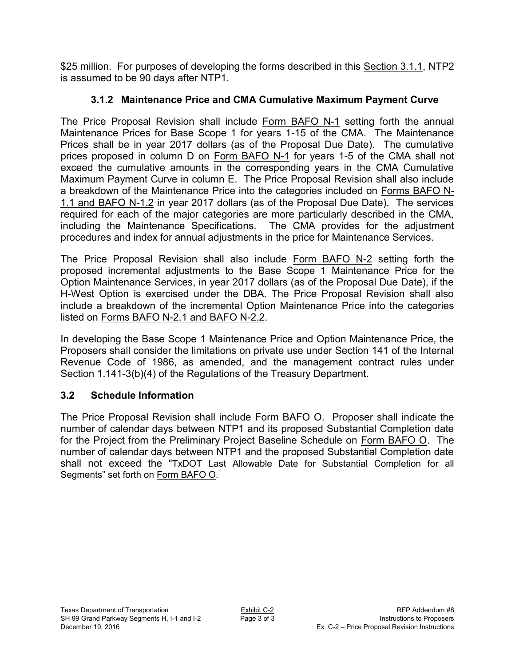\$25 million. For purposes of developing the forms described in this Section 3.1.1, NTP2 is assumed to be 90 days after NTP1.

# **3.1.2 Maintenance Price and CMA Cumulative Maximum Payment Curve**

The Price Proposal Revision shall include Form BAFO N-1 setting forth the annual Maintenance Prices for Base Scope 1 for years 1-15 of the CMA. The Maintenance Prices shall be in year 2017 dollars (as of the Proposal Due Date). The cumulative prices proposed in column D on Form BAFO N-1 for years 1-5 of the CMA shall not exceed the cumulative amounts in the corresponding years in the CMA Cumulative Maximum Payment Curve in column E. The Price Proposal Revision shall also include a breakdown of the Maintenance Price into the categories included on Forms BAFO N-1.1 and BAFO N-1.2 in year 2017 dollars (as of the Proposal Due Date). The services required for each of the major categories are more particularly described in the CMA, including the Maintenance Specifications. The CMA provides for the adjustment procedures and index for annual adjustments in the price for Maintenance Services.

The Price Proposal Revision shall also include Form BAFO N-2 setting forth the proposed incremental adjustments to the Base Scope 1 Maintenance Price for the Option Maintenance Services, in year 2017 dollars (as of the Proposal Due Date), if the H-West Option is exercised under the DBA. The Price Proposal Revision shall also include a breakdown of the incremental Option Maintenance Price into the categories listed on Forms BAFO N-2.1 and BAFO N-2.2.

In developing the Base Scope 1 Maintenance Price and Option Maintenance Price, the Proposers shall consider the limitations on private use under Section 141 of the Internal Revenue Code of 1986, as amended, and the management contract rules under Section 1.141-3(b)(4) of the Regulations of the Treasury Department.

# **3.2 Schedule Information**

The Price Proposal Revision shall include Form BAFO O. Proposer shall indicate the number of calendar days between NTP1 and its proposed Substantial Completion date for the Project from the Preliminary Project Baseline Schedule on Form BAFO O. The number of calendar days between NTP1 and the proposed Substantial Completion date shall not exceed the "TxDOT Last Allowable Date for Substantial Completion for all Segments" set forth on Form BAFO O.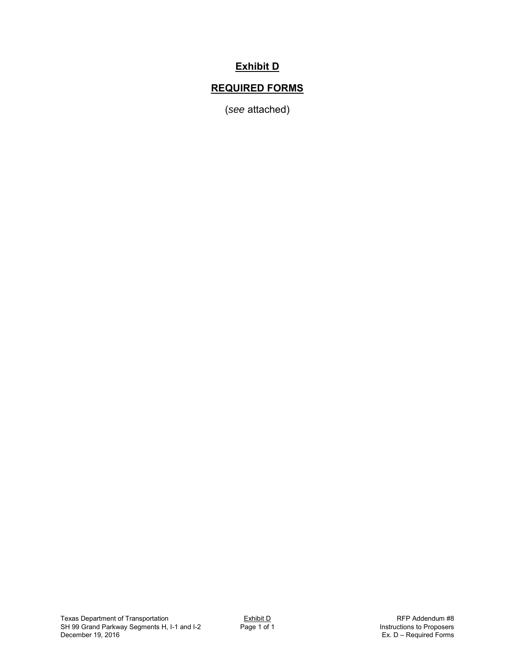# **Exhibit D**

# **REQUIRED FORMS**

(*see* attached)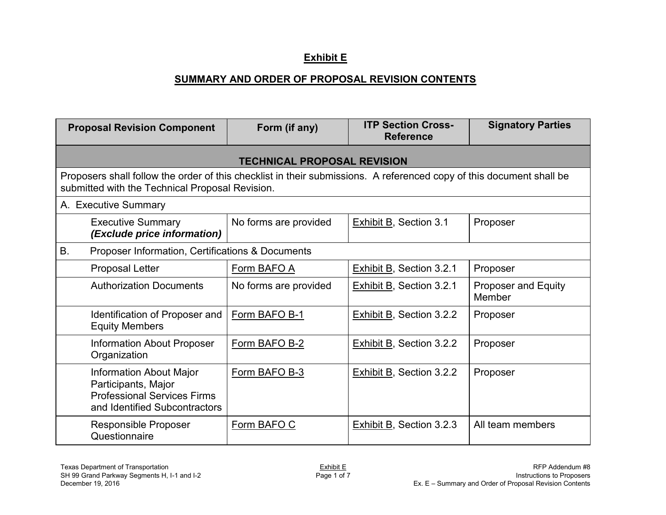### **Exhibit E**

#### **SUMMARY AND ORDER OF PROPOSAL REVISION CONTENTS**

| <b>Proposal Revision Component</b>                                                                                                                                      |                                                                                                                              | Form (if any)         | <b>ITP Section Cross-</b><br><b>Reference</b> | <b>Signatory Parties</b>             |  |  |  |  |
|-------------------------------------------------------------------------------------------------------------------------------------------------------------------------|------------------------------------------------------------------------------------------------------------------------------|-----------------------|-----------------------------------------------|--------------------------------------|--|--|--|--|
| <b>TECHNICAL PROPOSAL REVISION</b>                                                                                                                                      |                                                                                                                              |                       |                                               |                                      |  |  |  |  |
| Proposers shall follow the order of this checklist in their submissions. A referenced copy of this document shall be<br>submitted with the Technical Proposal Revision. |                                                                                                                              |                       |                                               |                                      |  |  |  |  |
| A. Executive Summary                                                                                                                                                    |                                                                                                                              |                       |                                               |                                      |  |  |  |  |
|                                                                                                                                                                         | <b>Executive Summary</b><br>(Exclude price information)                                                                      | No forms are provided | <b>Exhibit B, Section 3.1</b>                 | Proposer                             |  |  |  |  |
| <b>B.</b>                                                                                                                                                               | Proposer Information, Certifications & Documents                                                                             |                       |                                               |                                      |  |  |  |  |
|                                                                                                                                                                         | Proposal Letter                                                                                                              | Form BAFO A           | Exhibit B, Section 3.2.1                      | Proposer                             |  |  |  |  |
|                                                                                                                                                                         | <b>Authorization Documents</b>                                                                                               | No forms are provided | Exhibit B, Section 3.2.1                      | <b>Proposer and Equity</b><br>Member |  |  |  |  |
|                                                                                                                                                                         | Identification of Proposer and<br><b>Equity Members</b>                                                                      | Form BAFO B-1         | <b>Exhibit B, Section 3.2.2</b>               | Proposer                             |  |  |  |  |
|                                                                                                                                                                         | <b>Information About Proposer</b><br>Organization                                                                            | Form BAFO B-2         | Exhibit B, Section 3.2.2                      | Proposer                             |  |  |  |  |
|                                                                                                                                                                         | <b>Information About Major</b><br>Participants, Major<br><b>Professional Services Firms</b><br>and Identified Subcontractors | Form BAFO B-3         | Exhibit B, Section 3.2.2                      | Proposer                             |  |  |  |  |
|                                                                                                                                                                         | Responsible Proposer<br>Questionnaire                                                                                        | Form BAFO C           | Exhibit B, Section 3.2.3                      | All team members                     |  |  |  |  |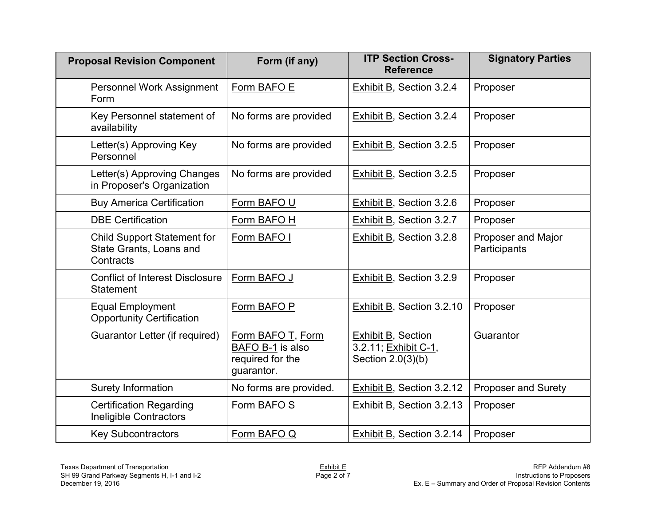| <b>Proposal Revision Component</b>                                         | Form (if any)                                                           | <b>ITP Section Cross-</b><br><b>Reference</b>                          | <b>Signatory Parties</b>           |
|----------------------------------------------------------------------------|-------------------------------------------------------------------------|------------------------------------------------------------------------|------------------------------------|
| Personnel Work Assignment<br>Form                                          | Form BAFO E                                                             | <b>Exhibit B, Section 3.2.4</b>                                        | Proposer                           |
| Key Personnel statement of<br>availability                                 | No forms are provided                                                   | <b>Exhibit B, Section 3.2.4</b>                                        | Proposer                           |
| Letter(s) Approving Key<br>Personnel                                       | No forms are provided                                                   | Exhibit B, Section 3.2.5                                               | Proposer                           |
| Letter(s) Approving Changes<br>in Proposer's Organization                  | No forms are provided                                                   | Exhibit B, Section 3.2.5                                               | Proposer                           |
| <b>Buy America Certification</b>                                           | Form BAFO U                                                             | Exhibit B, Section 3.2.6                                               | Proposer                           |
| <b>DBE Certification</b>                                                   | Form BAFO H                                                             | <b>Exhibit B, Section 3.2.7</b>                                        | Proposer                           |
| <b>Child Support Statement for</b><br>State Grants, Loans and<br>Contracts | Form BAFO I                                                             | <b>Exhibit B, Section 3.2.8</b>                                        | Proposer and Major<br>Participants |
| <b>Conflict of Interest Disclosure</b><br><b>Statement</b>                 | Form BAFO J                                                             | <b>Exhibit B, Section 3.2.9</b>                                        | Proposer                           |
| <b>Equal Employment</b><br><b>Opportunity Certification</b>                | Form BAFO P                                                             | <b>Exhibit B, Section 3.2.10</b>                                       | Proposer                           |
| Guarantor Letter (if required)                                             | Form BAFO T, Form<br>BAFO B-1 is also<br>required for the<br>guarantor. | <b>Exhibit B, Section</b><br>3.2.11; Exhibit C-1,<br>Section 2.0(3)(b) | Guarantor                          |
| Surety Information                                                         | No forms are provided.                                                  | Exhibit B, Section 3.2.12                                              | <b>Proposer and Surety</b>         |
| <b>Certification Regarding</b><br><b>Ineligible Contractors</b>            | Form BAFO S                                                             | Exhibit B, Section 3.2.13                                              | Proposer                           |
| <b>Key Subcontractors</b>                                                  | Form BAFO Q                                                             | Exhibit B, Section 3.2.14                                              | Proposer                           |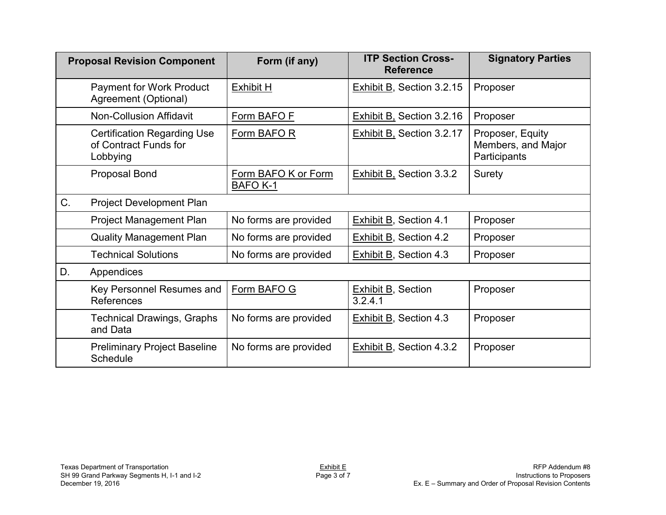| <b>Proposal Revision Component</b> |                                                                         | Form (if any)                          | <b>ITP Section Cross-</b><br><b>Reference</b> | <b>Signatory Parties</b>                               |
|------------------------------------|-------------------------------------------------------------------------|----------------------------------------|-----------------------------------------------|--------------------------------------------------------|
|                                    | <b>Payment for Work Product</b><br>Agreement (Optional)                 | <b>Exhibit H</b>                       | Exhibit B, Section 3.2.15                     | Proposer                                               |
|                                    | <b>Non-Collusion Affidavit</b>                                          | Form BAFO F                            | Exhibit B, Section 3.2.16                     | Proposer                                               |
|                                    | <b>Certification Regarding Use</b><br>of Contract Funds for<br>Lobbying | Form BAFO R                            | <b>Exhibit B, Section 3.2.17</b>              | Proposer, Equity<br>Members, and Major<br>Participants |
|                                    | Proposal Bond                                                           | Form BAFO K or Form<br><b>BAFO K-1</b> | <b>Exhibit B, Section 3.3.2</b>               | Surety                                                 |
| C.                                 | <b>Project Development Plan</b>                                         |                                        |                                               |                                                        |
|                                    | <b>Project Management Plan</b>                                          | No forms are provided                  | Exhibit B, Section 4.1                        | Proposer                                               |
|                                    | <b>Quality Management Plan</b>                                          | No forms are provided                  | <b>Exhibit B, Section 4.2</b>                 | Proposer                                               |
|                                    | <b>Technical Solutions</b>                                              | No forms are provided                  | Exhibit B, Section 4.3                        | Proposer                                               |
| D.                                 | Appendices                                                              |                                        |                                               |                                                        |
|                                    | Key Personnel Resumes and<br><b>References</b>                          | Form BAFO G                            | <b>Exhibit B, Section</b><br>3.2.4.1          | Proposer                                               |
|                                    | <b>Technical Drawings, Graphs</b><br>and Data                           | No forms are provided                  | <b>Exhibit B, Section 4.3</b>                 | Proposer                                               |
|                                    | <b>Preliminary Project Baseline</b><br>Schedule                         | No forms are provided                  | <b>Exhibit B, Section 4.3.2</b>               | Proposer                                               |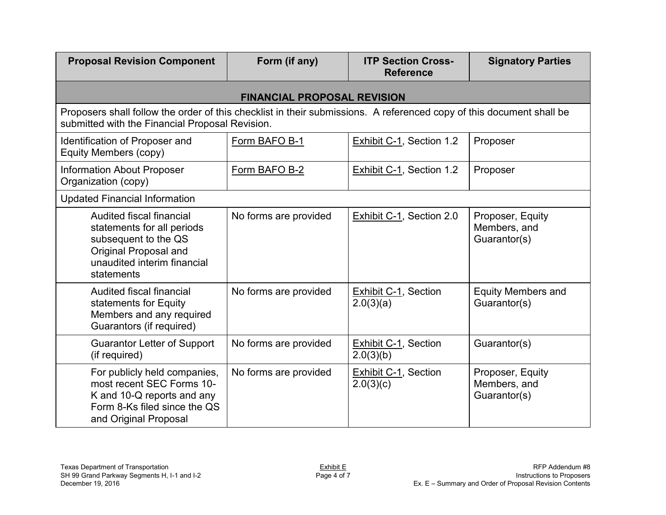| <b>Proposal Revision Component</b>                                                                                                                                      | Form (if any)                      | <b>ITP Section Cross-</b><br><b>Reference</b> | <b>Signatory Parties</b>                         |  |  |
|-------------------------------------------------------------------------------------------------------------------------------------------------------------------------|------------------------------------|-----------------------------------------------|--------------------------------------------------|--|--|
|                                                                                                                                                                         | <b>FINANCIAL PROPOSAL REVISION</b> |                                               |                                                  |  |  |
| Proposers shall follow the order of this checklist in their submissions. A referenced copy of this document shall be<br>submitted with the Financial Proposal Revision. |                                    |                                               |                                                  |  |  |
| Identification of Proposer and<br>Equity Members (copy)                                                                                                                 | Form BAFO B-1                      | Exhibit C-1, Section 1.2                      | Proposer                                         |  |  |
| <b>Information About Proposer</b><br>Organization (copy)                                                                                                                | Form BAFO B-2                      | Exhibit C-1, Section 1.2                      | Proposer                                         |  |  |
| <b>Updated Financial Information</b>                                                                                                                                    |                                    |                                               |                                                  |  |  |
| Audited fiscal financial<br>statements for all periods<br>subsequent to the QS<br>Original Proposal and<br>unaudited interim financial<br>statements                    | No forms are provided              | Exhibit C-1, Section 2.0                      | Proposer, Equity<br>Members, and<br>Guarantor(s) |  |  |
| Audited fiscal financial<br>statements for Equity<br>Members and any required<br>Guarantors (if required)                                                               | No forms are provided              | <b>Exhibit C-1, Section</b><br>2.0(3)(a)      | <b>Equity Members and</b><br>Guarantor(s)        |  |  |
| <b>Guarantor Letter of Support</b><br>(if required)                                                                                                                     | No forms are provided              | <b>Exhibit C-1, Section</b><br>2.0(3)(b)      | Guarantor(s)                                     |  |  |
| For publicly held companies,<br>most recent SEC Forms 10-<br>K and 10-Q reports and any<br>Form 8-Ks filed since the QS<br>and Original Proposal                        | No forms are provided              | <b>Exhibit C-1, Section</b><br>2.0(3)(c)      | Proposer, Equity<br>Members, and<br>Guarantor(s) |  |  |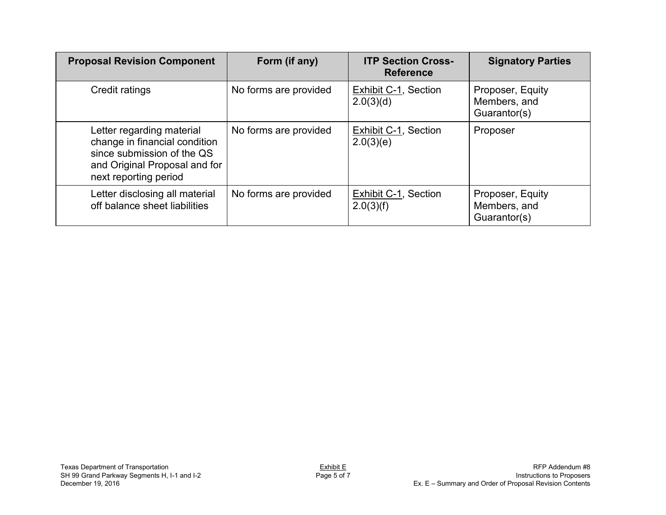| <b>Proposal Revision Component</b>                                                                                                                 | Form (if any)         | <b>ITP Section Cross-</b><br><b>Reference</b> | <b>Signatory Parties</b>                         |
|----------------------------------------------------------------------------------------------------------------------------------------------------|-----------------------|-----------------------------------------------|--------------------------------------------------|
| Credit ratings                                                                                                                                     | No forms are provided | Exhibit C-1, Section<br>2.0(3)(d)             | Proposer, Equity<br>Members, and<br>Guarantor(s) |
| Letter regarding material<br>change in financial condition<br>since submission of the QS<br>and Original Proposal and for<br>next reporting period | No forms are provided | Exhibit C-1, Section<br>2.0(3)(e)             | Proposer                                         |
| Letter disclosing all material<br>off balance sheet liabilities                                                                                    | No forms are provided | Exhibit C-1, Section<br>2.0(3)(f)             | Proposer, Equity<br>Members, and<br>Guarantor(s) |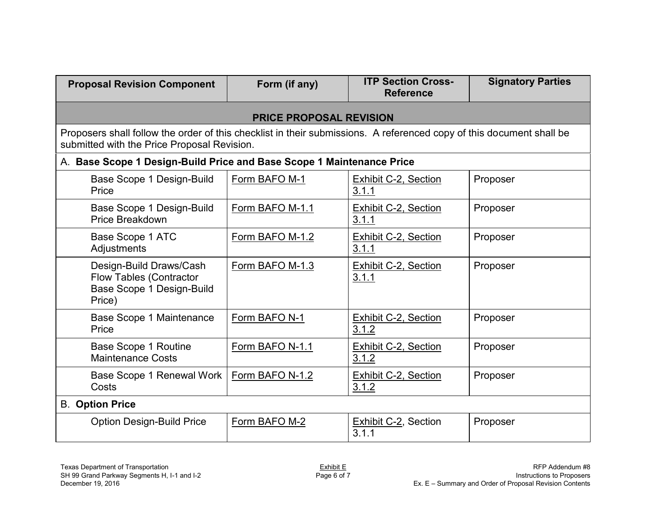| <b>Proposal Revision Component</b>                                                                                                                                  | Form (if any)                  | <b>ITP Section Cross-</b><br><b>Reference</b> | <b>Signatory Parties</b> |  |
|---------------------------------------------------------------------------------------------------------------------------------------------------------------------|--------------------------------|-----------------------------------------------|--------------------------|--|
|                                                                                                                                                                     | <b>PRICE PROPOSAL REVISION</b> |                                               |                          |  |
| Proposers shall follow the order of this checklist in their submissions. A referenced copy of this document shall be<br>submitted with the Price Proposal Revision. |                                |                                               |                          |  |
| A. Base Scope 1 Design-Build Price and Base Scope 1 Maintenance Price                                                                                               |                                |                                               |                          |  |
| Base Scope 1 Design-Build<br>Price                                                                                                                                  | Form BAFO M-1                  | <b>Exhibit C-2, Section</b><br>3.1.1          | Proposer                 |  |
| Base Scope 1 Design-Build<br>Price Breakdown                                                                                                                        | Form BAFO M-1.1                | <b>Exhibit C-2, Section</b><br>3.1.1          | Proposer                 |  |
| Base Scope 1 ATC<br>Adjustments                                                                                                                                     | Form BAFO M-1.2                | <b>Exhibit C-2, Section</b><br>3.1.1          | Proposer                 |  |
| Design-Build Draws/Cash<br><b>Flow Tables (Contractor</b><br>Base Scope 1 Design-Build<br>Price)                                                                    | Form BAFO M-1.3                | <b>Exhibit C-2, Section</b><br>3.1.1          | Proposer                 |  |
| Base Scope 1 Maintenance<br>Price                                                                                                                                   | Form BAFO N-1                  | Exhibit C-2, Section<br>3.1.2                 | Proposer                 |  |
| <b>Base Scope 1 Routine</b><br><b>Maintenance Costs</b>                                                                                                             | Form BAFO N-1.1                | <b>Exhibit C-2, Section</b><br>3.1.2          | Proposer                 |  |
| Base Scope 1 Renewal Work<br>Costs                                                                                                                                  | Form BAFO N-1.2                | <b>Exhibit C-2, Section</b><br>3.1.2          | Proposer                 |  |
| <b>B.</b> Option Price                                                                                                                                              |                                |                                               |                          |  |
| <b>Option Design-Build Price</b>                                                                                                                                    | Form BAFO M-2                  | Exhibit C-2, Section<br>3.1.1                 | Proposer                 |  |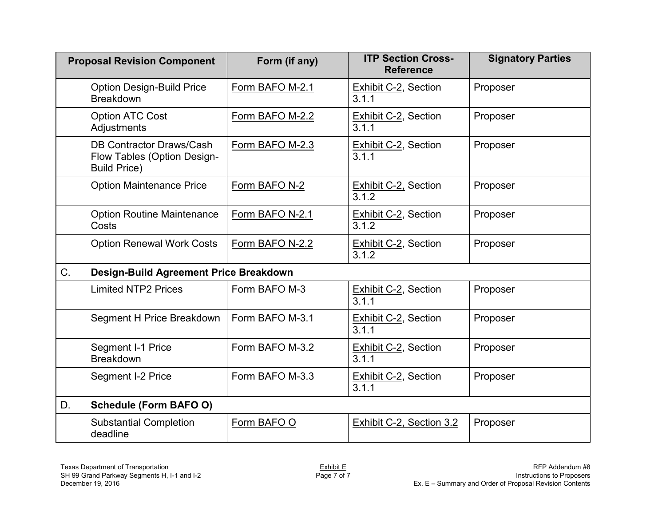|    | <b>Proposal Revision Component</b>                                             | Form (if any)   | <b>ITP Section Cross-</b><br><b>Reference</b> | <b>Signatory Parties</b> |
|----|--------------------------------------------------------------------------------|-----------------|-----------------------------------------------|--------------------------|
|    | <b>Option Design-Build Price</b><br><b>Breakdown</b>                           | Form BAFO M-2.1 | <b>Exhibit C-2, Section</b><br>3.1.1          | Proposer                 |
|    | <b>Option ATC Cost</b><br>Adjustments                                          | Form BAFO M-2.2 | <b>Exhibit C-2, Section</b><br>3.1.1          | Proposer                 |
|    | DB Contractor Draws/Cash<br>Flow Tables (Option Design-<br><b>Build Price)</b> | Form BAFO M-2.3 | <b>Exhibit C-2, Section</b><br>3.1.1          | Proposer                 |
|    | <b>Option Maintenance Price</b>                                                | Form BAFO N-2   | Exhibit C-2, Section<br>3.1.2                 | Proposer                 |
|    | <b>Option Routine Maintenance</b><br>Costs                                     | Form BAFO N-2.1 | <b>Exhibit C-2, Section</b><br>3.1.2          | Proposer                 |
|    | <b>Option Renewal Work Costs</b>                                               | Form BAFO N-2.2 | <b>Exhibit C-2, Section</b><br>3.1.2          | Proposer                 |
| C. | Design-Build Agreement Price Breakdown                                         |                 |                                               |                          |
|    | <b>Limited NTP2 Prices</b>                                                     | Form BAFO M-3   | <b>Exhibit C-2, Section</b><br>3.1.1          | Proposer                 |
|    | Segment H Price Breakdown                                                      | Form BAFO M-3.1 | <b>Exhibit C-2, Section</b><br>3.1.1          | Proposer                 |
|    | Segment I-1 Price<br><b>Breakdown</b>                                          | Form BAFO M-3.2 | <b>Exhibit C-2, Section</b><br>3.1.1          | Proposer                 |
|    | Segment I-2 Price                                                              | Form BAFO M-3.3 | Exhibit C-2, Section<br>3.1.1                 | Proposer                 |
| D. | <b>Schedule (Form BAFO O)</b>                                                  |                 |                                               |                          |
|    | <b>Substantial Completion</b><br>deadline                                      | Form BAFO O     | Exhibit C-2, Section 3.2                      | Proposer                 |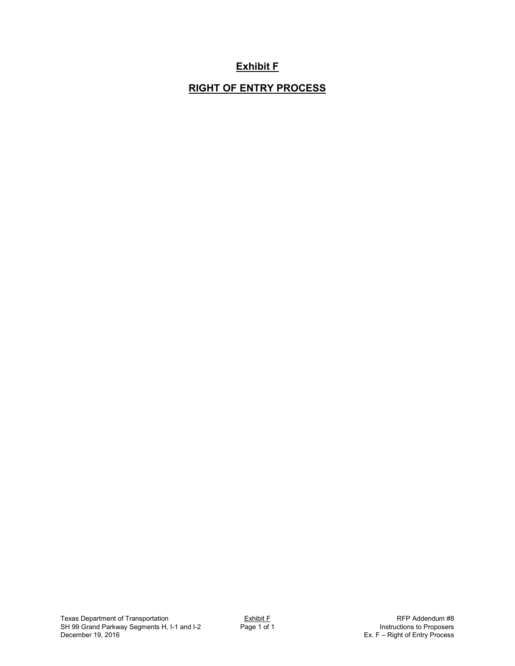## **Exhibit F**

## **RIGHT OF ENTRY PROCESS**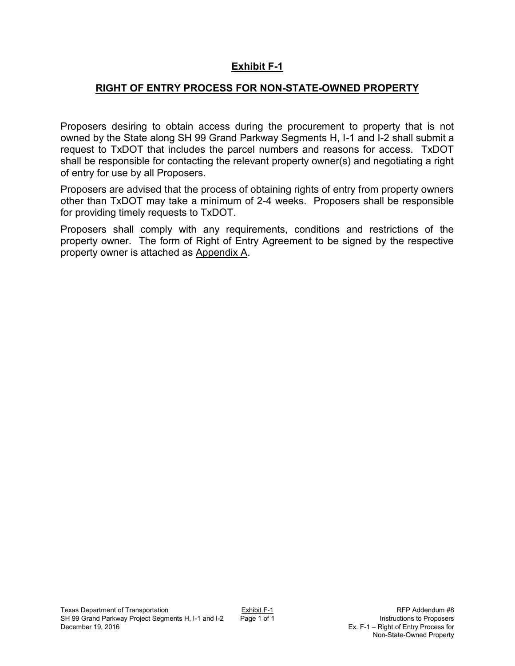## **Exhibit F-1**

## **RIGHT OF ENTRY PROCESS FOR NON-STATE-OWNED PROPERTY**

Proposers desiring to obtain access during the procurement to property that is not owned by the State along SH 99 Grand Parkway Segments H, I-1 and I-2 shall submit a request to TxDOT that includes the parcel numbers and reasons for access. TxDOT shall be responsible for contacting the relevant property owner(s) and negotiating a right of entry for use by all Proposers.

Proposers are advised that the process of obtaining rights of entry from property owners other than TxDOT may take a minimum of 2-4 weeks. Proposers shall be responsible for providing timely requests to TxDOT.

Proposers shall comply with any requirements, conditions and restrictions of the property owner. The form of Right of Entry Agreement to be signed by the respective property owner is attached as Appendix A.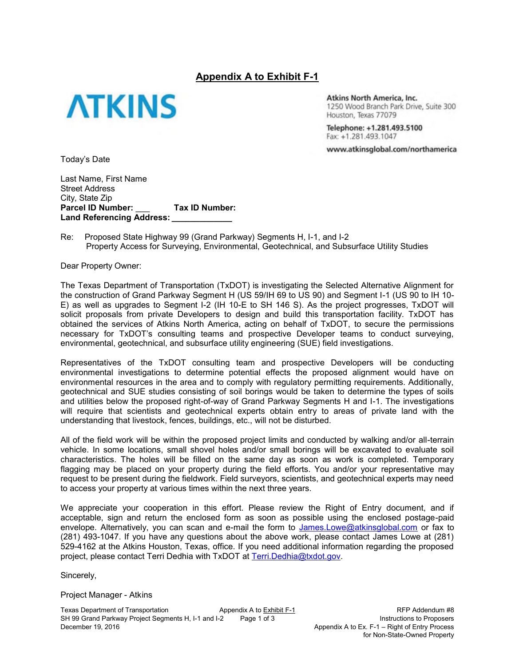### **Appendix A to Exhibit F-1**



**Atkins North America, Inc.** 1250 Wood Branch Park Drive, Suite 300 Houston, Texas 77079

Telephone: +1.281.493.5100 Fax: +1.281.493.1047

www.atkinsglobal.com/northamerica

Today's Date

Last Name, First Name Street Address City, State Zip **Parcel ID Number:** \_\_\_ **Tax ID Number:**  Land Referencing Address:

Re: Proposed State Highway 99 (Grand Parkway) Segments H, I-1, and I-2 Property Access for Surveying, Environmental, Geotechnical, and Subsurface Utility Studies

Dear Property Owner:

The Texas Department of Transportation (TxDOT) is investigating the Selected Alternative Alignment for the construction of Grand Parkway Segment H (US 59/IH 69 to US 90) and Segment I-1 (US 90 to IH 10- E) as well as upgrades to Segment I-2 (IH 10-E to SH 146 S). As the project progresses, TxDOT will solicit proposals from private Developers to design and build this transportation facility. TxDOT has obtained the services of Atkins North America, acting on behalf of TxDOT, to secure the permissions necessary for TxDOT's consulting teams and prospective Developer teams to conduct surveying, environmental, geotechnical, and subsurface utility engineering (SUE) field investigations.

Representatives of the TxDOT consulting team and prospective Developers will be conducting environmental investigations to determine potential effects the proposed alignment would have on environmental resources in the area and to comply with regulatory permitting requirements. Additionally, geotechnical and SUE studies consisting of soil borings would be taken to determine the types of soils and utilities below the proposed right-of-way of Grand Parkway Segments H and I-1. The investigations will require that scientists and geotechnical experts obtain entry to areas of private land with the understanding that livestock, fences, buildings, etc., will not be disturbed.

All of the field work will be within the proposed project limits and conducted by walking and/or all-terrain vehicle. In some locations, small shovel holes and/or small borings will be excavated to evaluate soil characteristics. The holes will be filled on the same day as soon as work is completed. Temporary flagging may be placed on your property during the field efforts. You and/or your representative may request to be present during the fieldwork. Field surveyors, scientists, and geotechnical experts may need to access your property at various times within the next three years.

We appreciate your cooperation in this effort. Please review the Right of Entry document, and if acceptable, sign and return the enclosed form as soon as possible using the enclosed postage-paid envelope. Alternatively, you can scan and e-mail the form to James.Lowe@atkinsglobal.com or fax to (281) 493-1047. If you have any questions about the above work, please contact James Lowe at (281) 529-4162 at the Atkins Houston, Texas, office. If you need additional information regarding the proposed project, please contact Terri Dedhia with TxDOT at Terri.Dedhia@txdot.gov.

Sincerely,

Project Manager - Atkins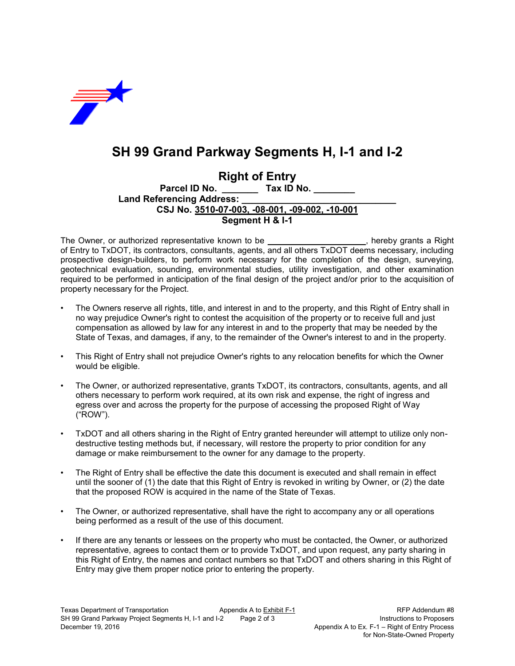

# **SH 99 Grand Parkway Segments H, I-1 and I-2**

**Right of Entry Parcel ID No. \_\_\_\_\_\_\_ Tax ID No. \_\_\_\_\_\_\_\_** Land Referencing Address: **CSJ No. 3510-07-003, -08-001, -09-002, -10-001 Segment H & I-1** 

The Owner, or authorized representative known to be **\_\_\_\_\_\_\_\_\_\_\_\_\_\_\_\_\_\_\_\_\_**, hereby grants a Right of Entry to TxDOT, its contractors, consultants, agents, and all others TxDOT deems necessary, including prospective design-builders, to perform work necessary for the completion of the design, surveying, geotechnical evaluation, sounding, environmental studies, utility investigation, and other examination required to be performed in anticipation of the final design of the project and/or prior to the acquisition of property necessary for the Project.

- The Owners reserve all rights, title, and interest in and to the property, and this Right of Entry shall in no way prejudice Owner's right to contest the acquisition of the property or to receive full and just compensation as allowed by law for any interest in and to the property that may be needed by the State of Texas, and damages, if any, to the remainder of the Owner's interest to and in the property.
- This Right of Entry shall not prejudice Owner's rights to any relocation benefits for which the Owner would be eligible.
- The Owner, or authorized representative, grants TxDOT, its contractors, consultants, agents, and all others necessary to perform work required, at its own risk and expense, the right of ingress and egress over and across the property for the purpose of accessing the proposed Right of Way ("ROW").
- TxDOT and all others sharing in the Right of Entry granted hereunder will attempt to utilize only nondestructive testing methods but, if necessary, will restore the property to prior condition for any damage or make reimbursement to the owner for any damage to the property.
- The Right of Entry shall be effective the date this document is executed and shall remain in effect until the sooner of (1) the date that this Right of Entry is revoked in writing by Owner, or (2) the date that the proposed ROW is acquired in the name of the State of Texas.
- The Owner, or authorized representative, shall have the right to accompany any or all operations being performed as a result of the use of this document.
- If there are any tenants or lessees on the property who must be contacted, the Owner, or authorized representative, agrees to contact them or to provide TxDOT, and upon request, any party sharing in this Right of Entry, the names and contact numbers so that TxDOT and others sharing in this Right of Entry may give them proper notice prior to entering the property.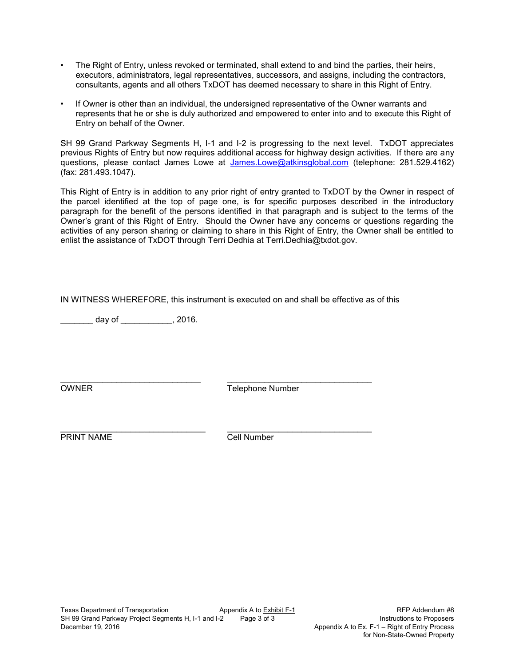- The Right of Entry, unless revoked or terminated, shall extend to and bind the parties, their heirs, executors, administrators, legal representatives, successors, and assigns, including the contractors, consultants, agents and all others TxDOT has deemed necessary to share in this Right of Entry.
- If Owner is other than an individual, the undersigned representative of the Owner warrants and represents that he or she is duly authorized and empowered to enter into and to execute this Right of Entry on behalf of the Owner.

SH 99 Grand Parkway Segments H, I-1 and I-2 is progressing to the next level. TxDOT appreciates previous Rights of Entry but now requires additional access for highway design activities. If there are any questions, please contact James Lowe at James.Lowe@atkinsglobal.com (telephone: 281.529.4162) (fax: 281.493.1047).

This Right of Entry is in addition to any prior right of entry granted to TxDOT by the Owner in respect of the parcel identified at the top of page one, is for specific purposes described in the introductory paragraph for the benefit of the persons identified in that paragraph and is subject to the terms of the Owner's grant of this Right of Entry. Should the Owner have any concerns or questions regarding the activities of any person sharing or claiming to share in this Right of Entry, the Owner shall be entitled to enlist the assistance of TxDOT through Terri Dedhia at Terri.Dedhia@txdot.gov.

IN WITNESS WHEREFORE, this instrument is executed on and shall be effective as of this

 $\frac{1}{2}$  day of  $\frac{1}{2}$ , 2016.

\_\_\_\_\_\_\_\_\_\_\_\_\_\_\_\_\_\_\_\_\_\_\_\_\_\_\_\_\_\_ \_\_\_\_\_\_\_\_\_\_\_\_\_\_\_\_\_\_\_\_\_\_\_\_\_\_\_\_\_\_\_ **OWNER** Telephone Number

\_\_\_\_\_\_\_\_\_\_\_\_\_\_\_\_\_\_\_\_\_\_\_\_\_\_\_\_\_\_\_ \_\_\_\_\_\_\_\_\_\_\_\_\_\_\_\_\_\_\_\_\_\_\_\_\_\_\_\_\_\_\_ PRINT NAME Cell Number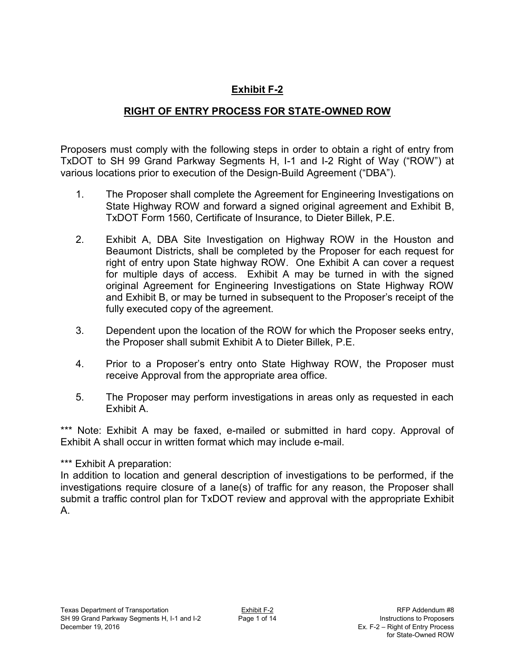## **Exhibit F-2**

## **RIGHT OF ENTRY PROCESS FOR STATE-OWNED ROW**

Proposers must comply with the following steps in order to obtain a right of entry from TxDOT to SH 99 Grand Parkway Segments H, I-1 and I-2 Right of Way ("ROW") at various locations prior to execution of the Design-Build Agreement ("DBA").

- 1. The Proposer shall complete the Agreement for Engineering Investigations on State Highway ROW and forward a signed original agreement and Exhibit B, TxDOT Form 1560, Certificate of Insurance, to Dieter Billek, P.E.
- 2. Exhibit A, DBA Site Investigation on Highway ROW in the Houston and Beaumont Districts, shall be completed by the Proposer for each request for right of entry upon State highway ROW. One Exhibit A can cover a request for multiple days of access. Exhibit A may be turned in with the signed original Agreement for Engineering Investigations on State Highway ROW and Exhibit B, or may be turned in subsequent to the Proposer's receipt of the fully executed copy of the agreement.
- 3. Dependent upon the location of the ROW for which the Proposer seeks entry, the Proposer shall submit Exhibit A to Dieter Billek, P.E.
- 4. Prior to a Proposer's entry onto State Highway ROW, the Proposer must receive Approval from the appropriate area office.
- 5. The Proposer may perform investigations in areas only as requested in each Exhibit A.

\*\*\* Note: Exhibit A may be faxed, e-mailed or submitted in hard copy. Approval of Exhibit A shall occur in written format which may include e-mail.

## \*\*\* Exhibit A preparation:

In addition to location and general description of investigations to be performed, if the investigations require closure of a lane(s) of traffic for any reason, the Proposer shall submit a traffic control plan for TxDOT review and approval with the appropriate Exhibit A.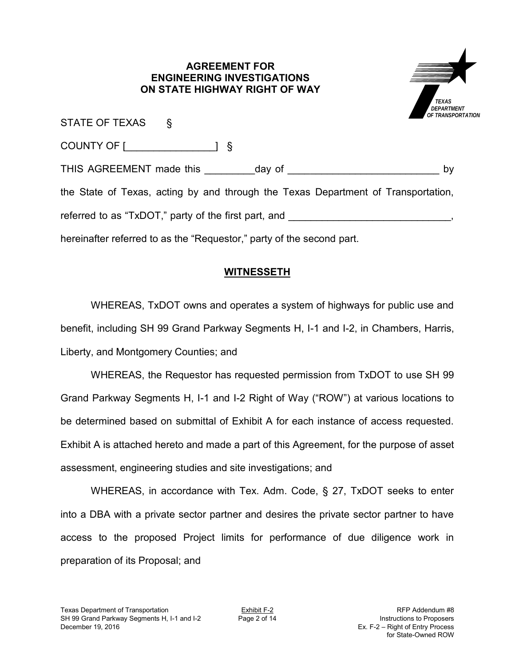### **AGREEMENT FOR ENGINEERING INVESTIGATIONS ON STATE HIGHWAY RIGHT OF WAY**



| STATE OF TEXAS § |                                                                                   |    |
|------------------|-----------------------------------------------------------------------------------|----|
|                  |                                                                                   |    |
|                  |                                                                                   | by |
|                  | the State of Texas, acting by and through the Texas Department of Transportation, |    |
|                  | referred to as "TxDOT," party of the first part, and ___________________________  |    |
|                  | hereinafter referred to as the "Requestor," party of the second part.             |    |

## **WITNESSETH**

WHEREAS, TxDOT owns and operates a system of highways for public use and benefit, including SH 99 Grand Parkway Segments H, I-1 and I-2, in Chambers, Harris, Liberty, and Montgomery Counties; and

WHEREAS, the Requestor has requested permission from TxDOT to use SH 99 Grand Parkway Segments H, I-1 and I-2 Right of Way ("ROW") at various locations to be determined based on submittal of Exhibit A for each instance of access requested. Exhibit A is attached hereto and made a part of this Agreement, for the purpose of asset assessment, engineering studies and site investigations; and

WHEREAS, in accordance with Tex. Adm. Code, § 27, TxDOT seeks to enter into a DBA with a private sector partner and desires the private sector partner to have access to the proposed Project limits for performance of due diligence work in preparation of its Proposal; and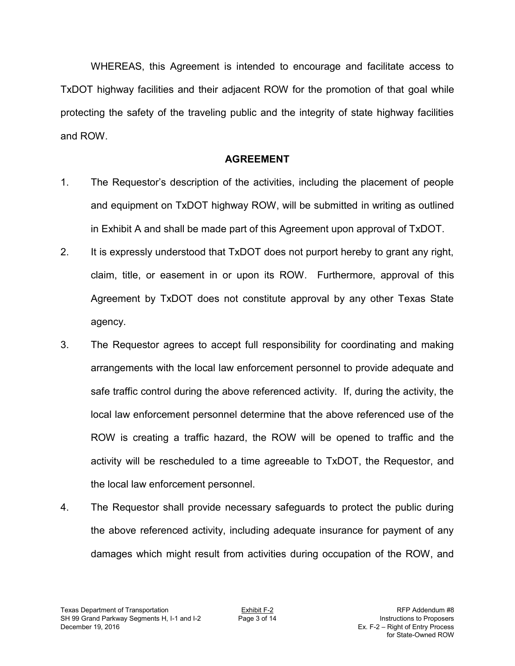WHEREAS, this Agreement is intended to encourage and facilitate access to TxDOT highway facilities and their adjacent ROW for the promotion of that goal while protecting the safety of the traveling public and the integrity of state highway facilities and ROW.

## **AGREEMENT**

- 1. The Requestor's description of the activities, including the placement of people and equipment on TxDOT highway ROW, will be submitted in writing as outlined in Exhibit A and shall be made part of this Agreement upon approval of TxDOT.
- 2. It is expressly understood that TxDOT does not purport hereby to grant any right, claim, title, or easement in or upon its ROW. Furthermore, approval of this Agreement by TxDOT does not constitute approval by any other Texas State agency.
- 3. The Requestor agrees to accept full responsibility for coordinating and making arrangements with the local law enforcement personnel to provide adequate and safe traffic control during the above referenced activity. If, during the activity, the local law enforcement personnel determine that the above referenced use of the ROW is creating a traffic hazard, the ROW will be opened to traffic and the activity will be rescheduled to a time agreeable to TxDOT, the Requestor, and the local law enforcement personnel.
- 4. The Requestor shall provide necessary safeguards to protect the public during the above referenced activity, including adequate insurance for payment of any damages which might result from activities during occupation of the ROW, and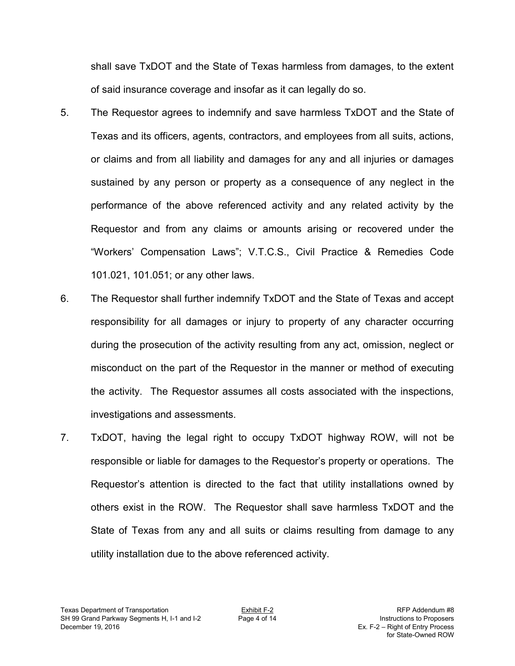shall save TxDOT and the State of Texas harmless from damages, to the extent of said insurance coverage and insofar as it can legally do so.

- 5. The Requestor agrees to indemnify and save harmless TxDOT and the State of Texas and its officers, agents, contractors, and employees from all suits, actions, or claims and from all liability and damages for any and all injuries or damages sustained by any person or property as a consequence of any neglect in the performance of the above referenced activity and any related activity by the Requestor and from any claims or amounts arising or recovered under the "Workers' Compensation Laws"; V.T.C.S., Civil Practice & Remedies Code 101.021, 101.051; or any other laws.
- 6. The Requestor shall further indemnify TxDOT and the State of Texas and accept responsibility for all damages or injury to property of any character occurring during the prosecution of the activity resulting from any act, omission, neglect or misconduct on the part of the Requestor in the manner or method of executing the activity. The Requestor assumes all costs associated with the inspections, investigations and assessments.
- 7. TxDOT, having the legal right to occupy TxDOT highway ROW, will not be responsible or liable for damages to the Requestor's property or operations. The Requestor's attention is directed to the fact that utility installations owned by others exist in the ROW. The Requestor shall save harmless TxDOT and the State of Texas from any and all suits or claims resulting from damage to any utility installation due to the above referenced activity.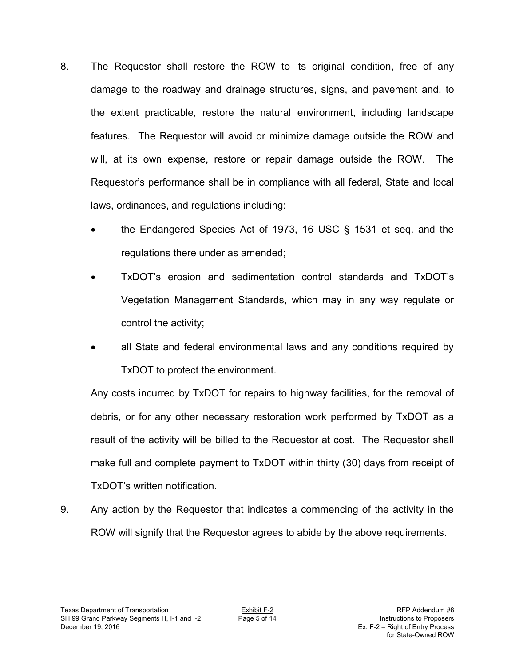- 8. The Requestor shall restore the ROW to its original condition, free of any damage to the roadway and drainage structures, signs, and pavement and, to the extent practicable, restore the natural environment, including landscape features. The Requestor will avoid or minimize damage outside the ROW and will, at its own expense, restore or repair damage outside the ROW. The Requestor's performance shall be in compliance with all federal, State and local laws, ordinances, and regulations including:
	- the Endangered Species Act of 1973, 16 USC § 1531 et seq. and the regulations there under as amended;
	- TxDOT's erosion and sedimentation control standards and TxDOT's Vegetation Management Standards, which may in any way regulate or control the activity;
	- all State and federal environmental laws and any conditions required by TxDOT to protect the environment.

Any costs incurred by TxDOT for repairs to highway facilities, for the removal of debris, or for any other necessary restoration work performed by TxDOT as a result of the activity will be billed to the Requestor at cost. The Requestor shall make full and complete payment to TxDOT within thirty (30) days from receipt of TxDOT's written notification.

9. Any action by the Requestor that indicates a commencing of the activity in the ROW will signify that the Requestor agrees to abide by the above requirements.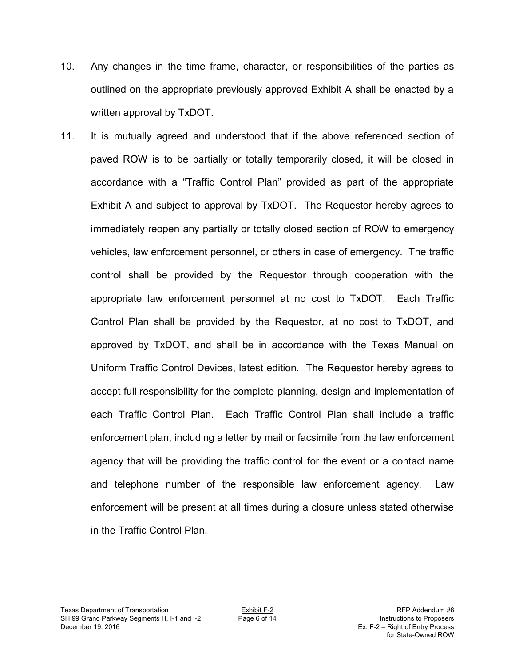- 10. Any changes in the time frame, character, or responsibilities of the parties as outlined on the appropriate previously approved Exhibit A shall be enacted by a written approval by TxDOT.
- 11. It is mutually agreed and understood that if the above referenced section of paved ROW is to be partially or totally temporarily closed, it will be closed in accordance with a "Traffic Control Plan" provided as part of the appropriate Exhibit A and subject to approval by TxDOT. The Requestor hereby agrees to immediately reopen any partially or totally closed section of ROW to emergency vehicles, law enforcement personnel, or others in case of emergency. The traffic control shall be provided by the Requestor through cooperation with the appropriate law enforcement personnel at no cost to TxDOT. Each Traffic Control Plan shall be provided by the Requestor, at no cost to TxDOT, and approved by TxDOT, and shall be in accordance with the Texas Manual on Uniform Traffic Control Devices, latest edition. The Requestor hereby agrees to accept full responsibility for the complete planning, design and implementation of each Traffic Control Plan. Each Traffic Control Plan shall include a traffic enforcement plan, including a letter by mail or facsimile from the law enforcement agency that will be providing the traffic control for the event or a contact name and telephone number of the responsible law enforcement agency. Law enforcement will be present at all times during a closure unless stated otherwise in the Traffic Control Plan.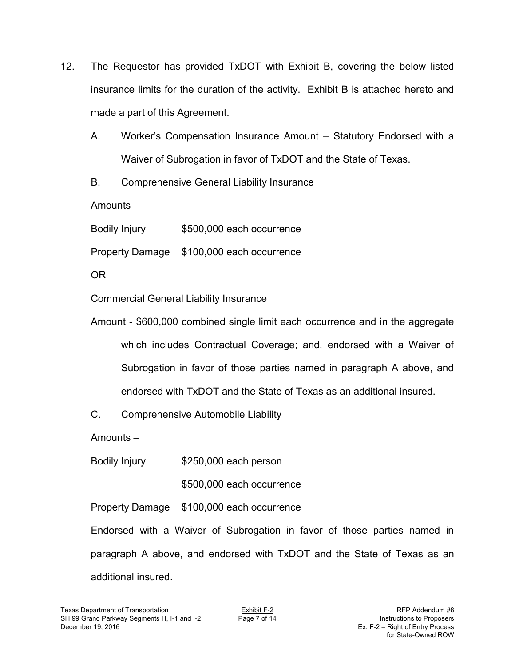- 12. The Requestor has provided TxDOT with Exhibit B, covering the below listed insurance limits for the duration of the activity. Exhibit B is attached hereto and made a part of this Agreement.
	- A. Worker's Compensation Insurance Amount Statutory Endorsed with a Waiver of Subrogation in favor of TxDOT and the State of Texas.
	- B. Comprehensive General Liability Insurance

Amounts –

Bodily Injury \$500,000 each occurrence

Property Damage \$100,000 each occurrence

OR

Commercial General Liability Insurance

Amount - \$600,000 combined single limit each occurrence and in the aggregate which includes Contractual Coverage; and, endorsed with a Waiver of Subrogation in favor of those parties named in paragraph A above, and endorsed with TxDOT and the State of Texas as an additional insured.

C. Comprehensive Automobile Liability

Amounts –

Bodily Injury \$250,000 each person

\$500,000 each occurrence

Property Damage \$100,000 each occurrence

Endorsed with a Waiver of Subrogation in favor of those parties named in paragraph A above, and endorsed with TxDOT and the State of Texas as an additional insured.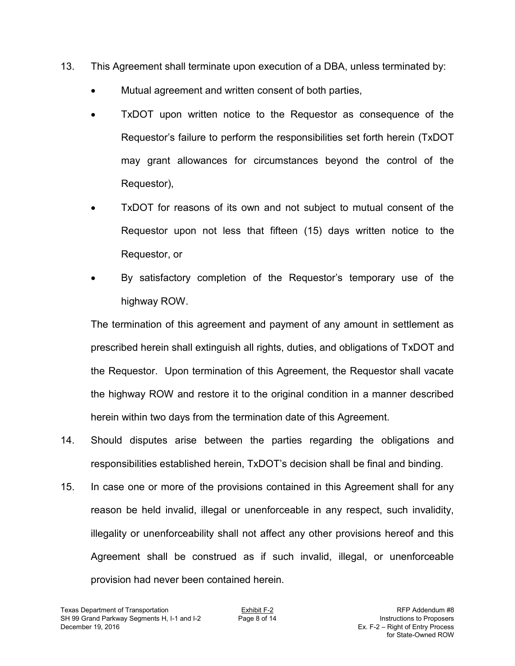- 13. This Agreement shall terminate upon execution of a DBA, unless terminated by:
	- Mutual agreement and written consent of both parties,
	- TxDOT upon written notice to the Requestor as consequence of the Requestor's failure to perform the responsibilities set forth herein (TxDOT may grant allowances for circumstances beyond the control of the Requestor),
	- TxDOT for reasons of its own and not subject to mutual consent of the Requestor upon not less that fifteen (15) days written notice to the Requestor, or
	- By satisfactory completion of the Requestor's temporary use of the highway ROW.

 The termination of this agreement and payment of any amount in settlement as prescribed herein shall extinguish all rights, duties, and obligations of TxDOT and the Requestor. Upon termination of this Agreement, the Requestor shall vacate the highway ROW and restore it to the original condition in a manner described herein within two days from the termination date of this Agreement.

- 14. Should disputes arise between the parties regarding the obligations and responsibilities established herein, TxDOT's decision shall be final and binding.
- 15. In case one or more of the provisions contained in this Agreement shall for any reason be held invalid, illegal or unenforceable in any respect, such invalidity, illegality or unenforceability shall not affect any other provisions hereof and this Agreement shall be construed as if such invalid, illegal, or unenforceable provision had never been contained herein.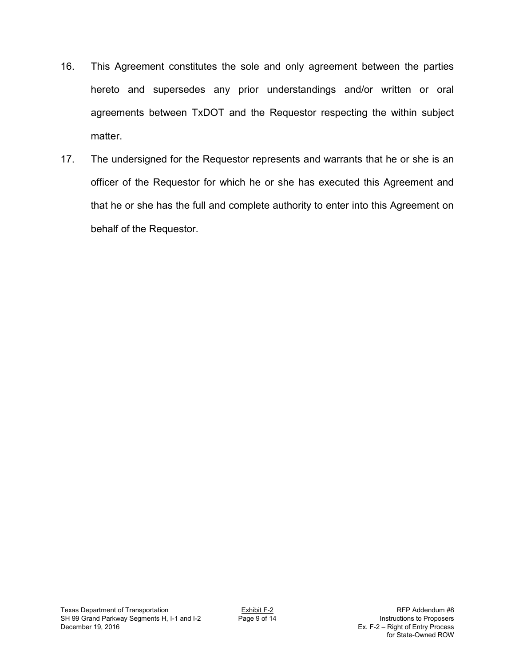- 16. This Agreement constitutes the sole and only agreement between the parties hereto and supersedes any prior understandings and/or written or oral agreements between TxDOT and the Requestor respecting the within subject matter.
- 17. The undersigned for the Requestor represents and warrants that he or she is an officer of the Requestor for which he or she has executed this Agreement and that he or she has the full and complete authority to enter into this Agreement on behalf of the Requestor.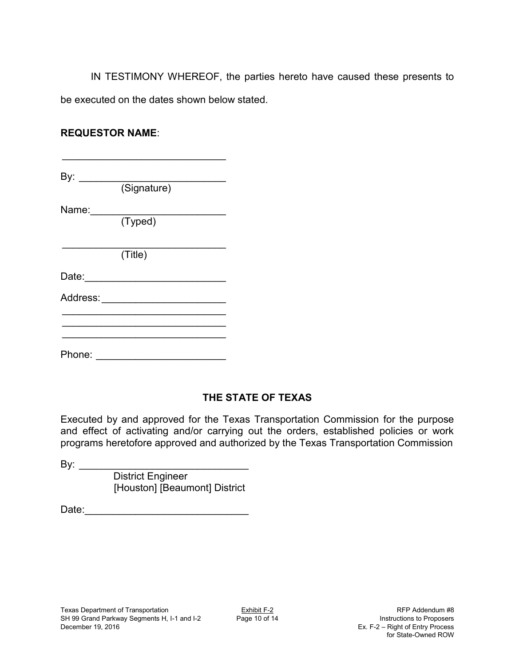IN TESTIMONY WHEREOF, the parties hereto have caused these presents to be executed on the dates shown below stated.

## **REQUESTOR NAME**:

By: \_\_\_\_\_\_\_\_\_\_\_\_\_\_\_\_\_\_\_\_\_\_\_\_\_\_ (Signature)

\_\_\_\_\_\_\_\_\_\_\_\_\_\_\_\_\_\_\_\_\_\_\_\_\_\_\_\_\_

Name: \_\_\_\_\_\_\_\_\_\_\_\_\_\_\_\_\_\_\_\_\_\_\_\_

(Typed)

 $\overline{\phantom{a}}$  , and the set of the set of the set of the set of the set of the set of the set of the set of the set of the set of the set of the set of the set of the set of the set of the set of the set of the set of the s (Title)

Date: \_\_\_\_\_\_\_\_\_\_\_\_\_\_\_\_\_\_\_\_\_\_\_\_\_

Address: **and a set of the set of the set of the set of the set of the set of the set of the set of the set of the set of the set of the set of the set of the set of the set of the set of the set of the set of the set of t** 

Phone: \_\_\_\_\_\_\_\_\_\_\_\_\_\_\_\_\_\_\_\_\_\_\_

 $\overline{\phantom{a}}$  , and the set of the set of the set of the set of the set of the set of the set of the set of the set of the set of the set of the set of the set of the set of the set of the set of the set of the set of the s  $\overline{\phantom{a}}$  , and the set of the set of the set of the set of the set of the set of the set of the set of the set of the set of the set of the set of the set of the set of the set of the set of the set of the set of the s \_\_\_\_\_\_\_\_\_\_\_\_\_\_\_\_\_\_\_\_\_\_\_\_\_\_\_\_\_

## **THE STATE OF TEXAS**

Executed by and approved for the Texas Transportation Commission for the purpose and effect of activating and/or carrying out the orders, established policies or work programs heretofore approved and authorized by the Texas Transportation Commission

By: \_\_\_\_\_\_\_\_\_\_\_\_\_\_\_\_\_\_\_\_\_\_\_\_\_\_\_\_\_\_ District Engineer [Houston] [Beaumont] District

Date: \_\_\_\_\_\_\_\_\_\_\_\_\_\_\_\_\_\_\_\_\_\_\_\_\_\_\_\_\_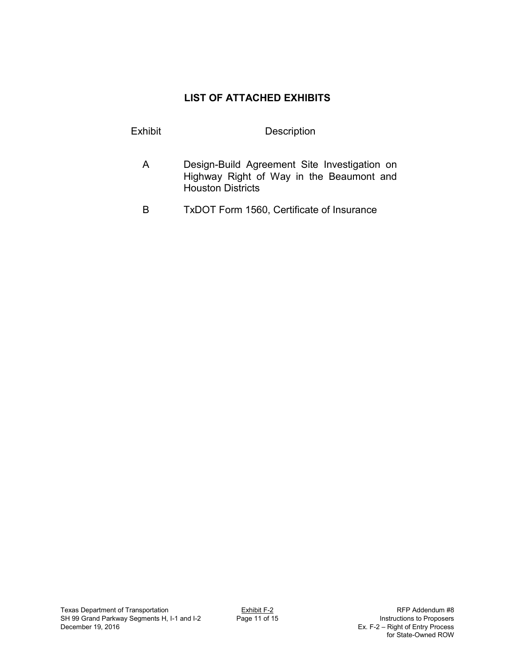## **LIST OF ATTACHED EXHIBITS**

## Exhibit Description

- A Design-Build Agreement Site Investigation on Highway Right of Way in the Beaumont and Houston Districts
- B TxDOT Form 1560, Certificate of Insurance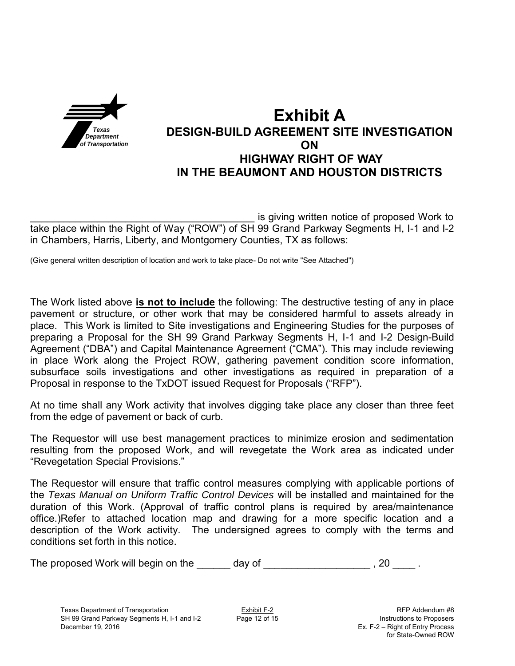

# **Exhibit A DESIGN-BUILD AGREEMENT SITE INVESTIGATION ON HIGHWAY RIGHT OF WAY IN THE BEAUMONT AND HOUSTON DISTRICTS**

is giving written notice of proposed Work to take place within the Right of Way ("ROW") of SH 99 Grand Parkway Segments H, I-1 and I-2 in Chambers, Harris, Liberty, and Montgomery Counties, TX as follows:

(Give general written description of location and work to take place- Do not write "See Attached")

The Work listed above **is not to include** the following: The destructive testing of any in place pavement or structure, or other work that may be considered harmful to assets already in place. This Work is limited to Site investigations and Engineering Studies for the purposes of preparing a Proposal for the SH 99 Grand Parkway Segments H, I-1 and I-2 Design-Build Agreement ("DBA") and Capital Maintenance Agreement ("CMA"). This may include reviewing in place Work along the Project ROW, gathering pavement condition score information, subsurface soils investigations and other investigations as required in preparation of a Proposal in response to the TxDOT issued Request for Proposals ("RFP").

At no time shall any Work activity that involves digging take place any closer than three feet from the edge of pavement or back of curb.

The Requestor will use best management practices to minimize erosion and sedimentation resulting from the proposed Work, and will revegetate the Work area as indicated under "Revegetation Special Provisions."

The Requestor will ensure that traffic control measures complying with applicable portions of the *Texas Manual on Uniform Traffic Control Devices* will be installed and maintained for the duration of this Work. (Approval of traffic control plans is required by area/maintenance office.)Refer to attached location map and drawing for a more specific location and a description of the Work activity. The undersigned agrees to comply with the terms and conditions set forth in this notice.

The proposed Work will begin on the \_\_\_\_\_\_ day of \_\_\_\_\_\_\_\_\_\_\_\_\_\_\_\_\_\_\_\_\_\_\_\_, 20 \_\_\_\_\_.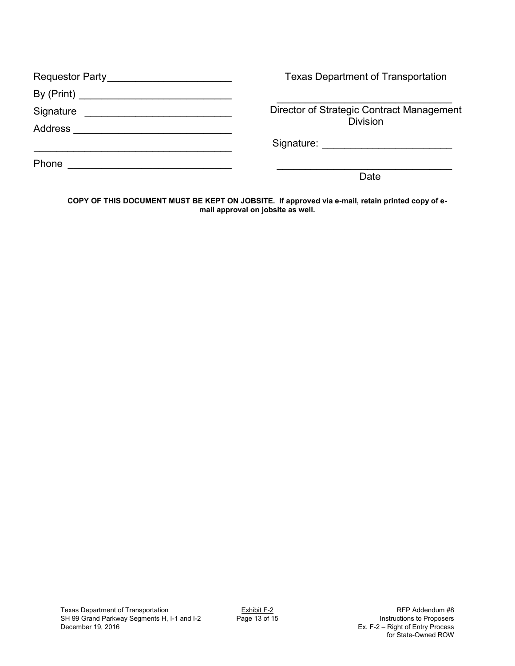| Requestor Party__________________________                                                                                        | <b>Texas Department of Transportation</b> |
|----------------------------------------------------------------------------------------------------------------------------------|-------------------------------------------|
|                                                                                                                                  |                                           |
|                                                                                                                                  | Director of Strategic Contract Management |
|                                                                                                                                  | <b>Division</b>                           |
|                                                                                                                                  |                                           |
| Phone<br><u> 1980 - Jan Samuel Barbara, margaret e populazion del control del control del control del control de la control </u> |                                           |
|                                                                                                                                  | Date                                      |

**COPY OF THIS DOCUMENT MUST BE KEPT ON JOBSITE. If approved via e-mail, retain printed copy of email approval on jobsite as well.**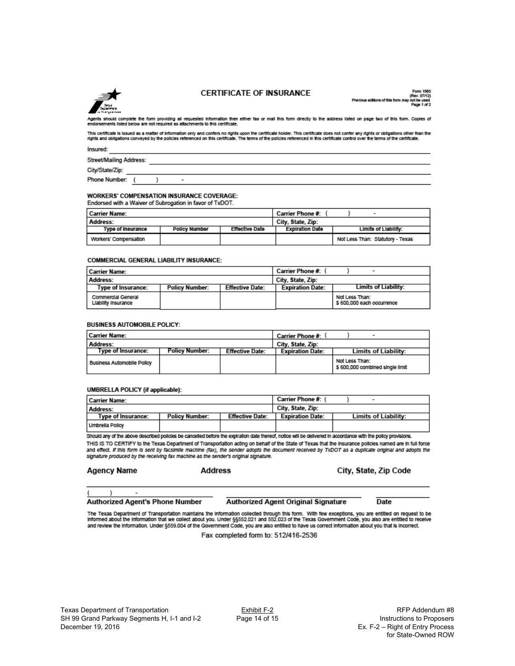

### **CERTIFICATE OF INSURANCE**

 $07/12$ 

Agents should complete the form providing all requested information then ether fax or mail this form directly to the address listed on page two of this form. Copies of<br>endorsements listed below are not required as attachme

This certificate is issued as a matter of information only and confers no rights upon the certificate holder. This certificate does not confer any rights or obligations other than the<br>rights and obligations conveyed by the

Insured:

Street/Mailing Address:

City/State/Zip:

Phone Number: (

### **WORKERS' COMPENSATION INSURANCE COVERAGE:**

÷,

 $\lambda$ 

| Endorsed with a Walver of Subrogation in favor of TxDOT. |                      |                |                        |                                  |
|----------------------------------------------------------|----------------------|----------------|------------------------|----------------------------------|
| Carrier Name:                                            |                      |                | Carrier Phone #:       |                                  |
| Address:                                                 |                      |                | City, State, Zip:      |                                  |
| <b>Type of Insurance</b>                                 | <b>Policy Number</b> | Effective Date | <b>Expiration Date</b> | Limits of Liability:             |
| Workers' Compensation                                    |                      |                |                        | Not Less Than: Statutory - Texas |

#### **COMMERCIAL GENERAL LIABILITY INSURANCE:**

| l Carrier Name:                           |                       |                        | Carrier Phone #: \      | $\overline{\phantom{a}}$                    |
|-------------------------------------------|-----------------------|------------------------|-------------------------|---------------------------------------------|
| Address:                                  |                       |                        | City, State, Zip:       |                                             |
| Type of Insurance:                        | <b>Policy Number:</b> | <b>Effective Date:</b> | <b>Expiration Date:</b> | Limits of Liability:                        |
| Commercial General<br>Liability insurance |                       |                        |                         | Not Less Than:<br>\$600,000 each occurrence |

#### **BUSINESS AUTOMOBILE POLICY:**

| Carrier Name:                     |                |                        | Carrier Phone #: '      | -                                                  |
|-----------------------------------|----------------|------------------------|-------------------------|----------------------------------------------------|
| Address:                          |                |                        | City, State, Zip:       |                                                    |
| Type of Insurance:                | Policy Number: | <b>Effective Date:</b> | <b>Expiration Date:</b> | Limits of Liability:                               |
| <b>Business Automobile Policy</b> |                |                        |                         | Not Less Than:<br>\$ 600,000 combined single limit |

#### UMBRELLA POLICY (if applicable):

| l Carrier Name:    |                       |                        | Carrier Phone #:        | $\overline{\phantom{a}}$    |
|--------------------|-----------------------|------------------------|-------------------------|-----------------------------|
| Address:           |                       |                        | City, State, Zip:       |                             |
| Type of Insurance: | <b>Policy Number:</b> | <b>Effective Date:</b> | <b>Expiration Date:</b> | <b>Limits of Liability:</b> |
| Umbrella Policy    |                       |                        |                         |                             |

Should any of the above described policies be cancelled before the expiration date thereof, notice will be delivered in accordance with the policy provisions. THIS IS TO CERTIFY to the Texas Department of Transportation acting on behalf of the State of Texas that the insurance policies named are in full force and effect. If this form is sent by facsimile machine (fax), the sender adopts the document received by TxDOT as a duplicate original and adopts the signature produced by the receiving fax machine as the sender's original signature.

| Agency Name | Address | City, State, Zip Code |
|-------------|---------|-----------------------|
|             |         |                       |

### **Authorized Agent's Phone Number**

÷,

 $\lambda$ 

**Authorized Agent Original Signature** 

**Date** 

The Texas Department of Transportation maintains the information collected through this form. With few exceptions, you are entitied on request to be<br>Informed about the information that we collect about you. Under §§552.021 and review the Information. Under §559.004 of the Government Code, you are also entitied to have us correct information about you that is incorrect.

Fax completed form to: 512/416-2536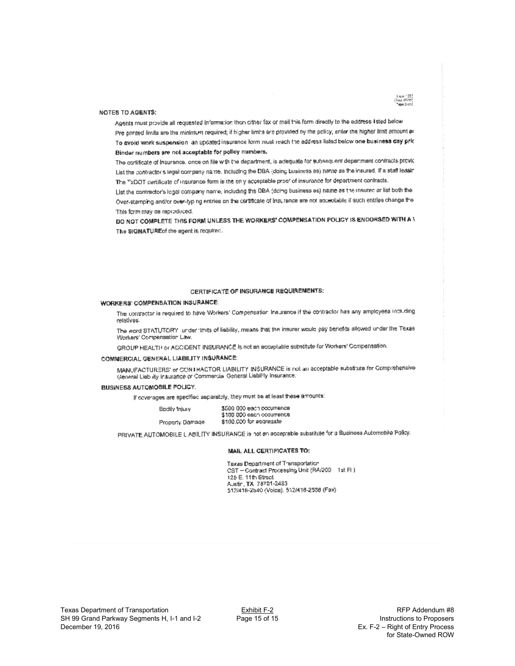

#### **NOTES TO AGENTS:**

Agents must provide all requested Information then dither fax or mail this form directly to the address (sted below Pre printed limits are the minimum required; if higher limits are provided by the policy, enter the higher limit amount ar To avoid work suspension an updated insurance form must reach the address listed below one business day pric Binder numbers are not acceptable for policy numbers.

The cortificate of Insurance, once on file with the department, is adequate for subsequent depertment contracts provid List the contractor's legal company name. Including the DBA (doing business as) name as the insurad. If a staff leasin The TxDOT certificate of insurance form is the only acceptable proof of insurance for department contracts.

List the contractor's logal company name, including the DBA (doing business as) name as the insuracion list both the Over-stamping and/or over-typing entries on the certificate of insurance are not acceptable if such entries change the This form may be reproduced.

DO NOT COMPLETE THIS FORM UNLESS THE WORKERS' COMPENSATION POLICY IS ENDORSED WITH A V The SIGNATURE of the agent is required.

### CERTIFICATE OF INSURANCE REQUIREMENTS:

### **WORKERS' COMPENSATION INSURANCE:**

The contractor is required to have Workers' Compensation Insurance if the contractor has any amployees including relatives.

The word STATUTORY lunder firsts of liability, means that the insurer would pay benefits allowed under the Texas Workers' Compensation Law.

GROUP HEALTH or ACCIDENT INSURANCE is not an acceptable substitute for Workers' Compensation.

### COMMERCIAL GENERAL LIABILITY INSURANCE:

MANUFACTURERS' or CONTRACTOR LIABILITY INSURANCE is not an acceptable substitute for Comprehensive General Liab ity Insurance or Commercial General Liability Insurance.

#### **BUSINESS AUTOMOBILE POLICY.**

If coverages are specified asparatoly, they must be at least these amounts:

| Bodily Injury   | \$500,000 each occurrence. |
|-----------------|----------------------------|
|                 | \$100 000 each occurrence  |
| Property Damage | \$100,000 for aggregate    |

PRIVATE AUTOMOBILE L'ABILITY INSURANCE is not an acceptable substitute for a Business Automobile Policy.

#### **MAIL ALL CERTIFICATES TO:**

Taxas Department of Transportation CST - Contract Processing Unit (RA/200 1st FL) 125 E. 11th Street Austin, TX 78701-2483 512/416-2540 (Voice), 512/416-2536 (Fax)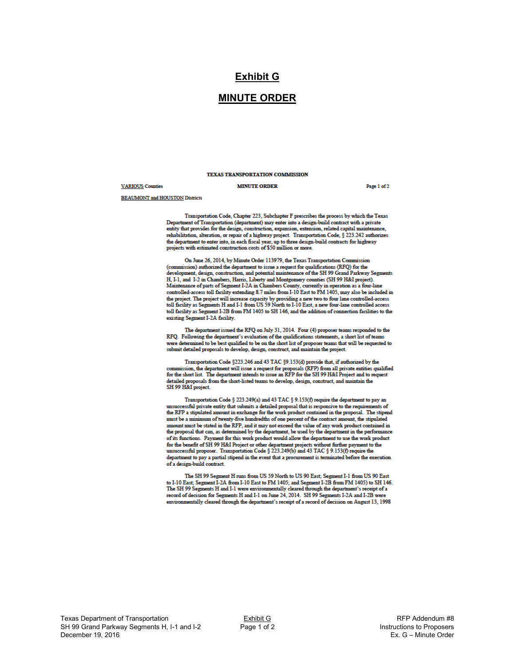### **Exhibit G**

### **MINUTE ORDER**

### TEXAS TRANSPORTATION COMMISSION

#### **VARIOUS** Counties

#### **MINUTE ORDER**

Page 1 of 2

**BEAUMONT** and HOUSTON Districts

Transportation Code, Chapter 223, Subchapter F prescribes the process by which the Texas Department of Transportation (department) may enter into a design-build contract with a private entity that provides for the design, construction, expansion, extension, related capital maintenance, rehabilitation, alteration, or repair of a highway project. Transportation Code, § 223.242 authorizes removements, and each mean or a magnety project. Transportance code,  $\frac{1}{3}$  and the department to enter into, in each fiscal year, up to three design-build contracts for highway projects with estimated construction cos

On June 26, 2014, by Minute Order 113979, the Texas Transportation Commission (commission) authorized the department to issue a request for qualifications (RFQ) for the development, design, construction, and potential maintenance of the SH 99 Grand Parkway Segments H, I-1, and I-2 in Chambers, Harris, Liberty and Montgomery counties (SH 99 H&I project). Maintenance of parts of Segment I-2A in Chambers County, currently in operation as a four-lane controlled-access toll facility extending 8.7 miles from I-10 East to FM 1405, may also be included in the project. The project will increase capacity by providing a new two to four lane controlled-access<br>toll facility as Segments H and I-1 from US 59 North to I-10 East, a new four-lane controlled access toll facility as Segment I-2B from FM 1405 to SH 146, and the addition of connection facilities to the existing Segment I-2A facility.

The department issued the RFQ on July 31, 2014. Four (4) proposer teams responded to the RFQ. Following the department's evaluation of the qualifications statements, a short list of teams were determined to be best qualified to be on the short list of proposer teams that will be requested to submit detailed proposals to develop, design, construct, and maintain the project.

Transportation Code §223.246 and 43 TAC §9.153(d) provide that, if authorized by the commission, the department will issue a request for proposals (RFP) from all private entities qualified for the short list. The department intends to issue an RFP for the SH 99 H&I Project and to request detailed proposals from the short-listed teams to develop, design, construct, and maintain the SH 99 H&I project

Transportation Code § 223.249(a) and 43 TAC § 9.153(f) require the department to pay an cessful private entity that submits a detailed proposal that is responsive to the requirements of the RFP a stipulated amount in exchange for the work product contained in the proposal. The stipend must be a minimum of twenty-five hundredths of one percent of the contract amount, the stipulated amount must be stated in the RFP, and it may not exceed the value of any work product contained in the proposal that can, as determined by the department, be used by the department in the performance of its functions. Payment for this work product would allow the department to use the work product So the benefit of SH 99 H&I Project or other department projects without further payment to the form the benefit of SH 99 H&I Project or other department projects without further payment to the unsuccessful proposer. Tran department to pay a partial stipend in the event that a procurement is terminated before the execution of a design-build contract.

The SH 99 Segment H runs from US 59 North to US 90 East; Segment I-1 from US 90 East to I-10 East; Segment I-2A from I-10 East to FM 1405; and Segment I-2B from FM 1405) to SH 146. The SH 99 Segments H and I-1 were environmentally cleared through the department's receipt of a record of decision for Segments H and I-1 on June 24, 2014. SH 99 Segments I-2A and I-2B were environmentally cleared through the department's receipt of a record of decision on August 13, 1998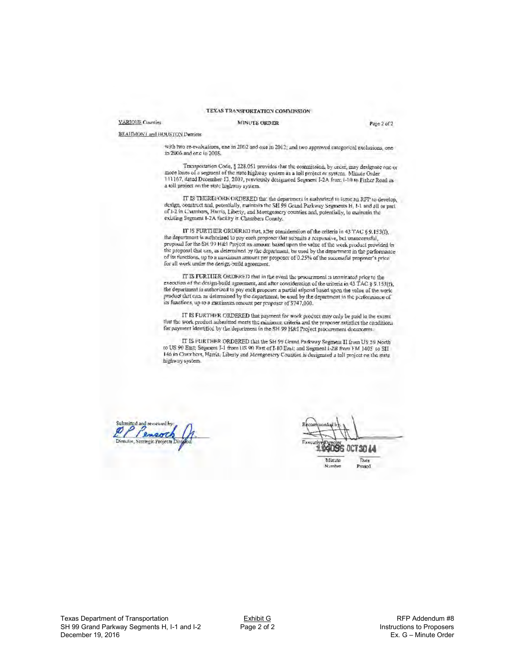#### TEXAS TRANSPORTATION COMMISSION

#### VARIOUS Counties

#### **MINUTE ORDER**

Page 2 of 2

BEAID/RONT and HOUSTON Districts

with two re-evaluations, one in 2002 and one in 2012; and two approved estegorical exclusions, one in 2006 and one in 2008.

Transportation Code, § 228.051 provides that the commission, by order, may designate one or more lanes of a segment of the state highway system as a foll project or system. Minute Order 111167, dated Docember 13, 2007, previously designated Segment I-2A from 1-10 to Fisher Road as a toll project on the state highway system.

IT IS THEREFORK ORDERED that the department is authorized to issue an RFP to develop, design, construct and, potentially, customete SH 99 Grand Parkway Segments H, I-1 and all or part of I-2 in Channelsrs, Herrita, Lobelly existing Segment 1-2A facility in Chambers County.

IT IS FURTHER ORDERED that, after consideration of the criteria in 43 TAC § 9.153(I), the department is authorized to pay each proposer that submits a responsive, but unsuccessful, proposal for the SH 99 H&1 Project an amount based upon the value of the work product provided in the proposal that can, as determined by the department, be used by the department in the performance of its functions, up to a maximum amount per proposer of 0.25% of the successful proposer's price for all work under the design-build agreement.

IT IS FURTHER ORDERED that in the event the procurement is terminated prior to the execution of the design-build agreement, and after consideration of the uniteria in 43  $TAC$  § 9.153(f), the department is authorized to pay each proposer a partial stipend based upon the value of the work<br>product that can, as determined by the department, be used by the department in the performance of its functions, up to a maximum neount per proposer of \$747,000.

IT IS FURTHER ORDERED that payment for work product may only be paid to the extent that the work product submitted meets the minimum criteria and the proposer satisfies the conditions for payment identified by the department in the SH 99 H&I Project procurement documents.

IT IS FURTHER ORDERED that the SH 99 Grand Parkway Segment II from US 59 North to US 90 East; Segment I-1 from US 90 East of I-10 East; and Segment I-2B from FM 1405 to SII 146 in Chambers, Harris. Liberly and Montgomery Counties is designated a toll project on the state highway system.

Submitted and reviewed ( larent Director, Strategic Projec

130 I.A

Thate

Passed

Minute Number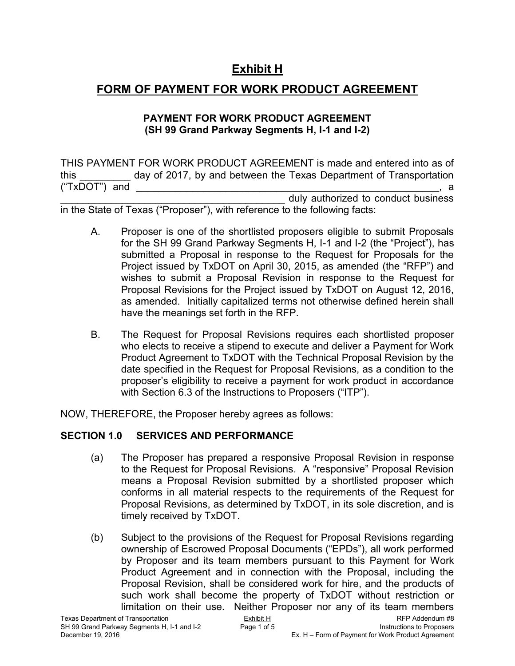# **Exhibit H**

# **FORM OF PAYMENT FOR WORK PRODUCT AGREEMENT**

### **PAYMENT FOR WORK PRODUCT AGREEMENT (SH 99 Grand Parkway Segments H, I-1 and I-2)**

THIS PAYMENT FOR WORK PRODUCT AGREEMENT is made and entered into as of this day of 2017, by and between the Texas Department of Transportation  $("TXDOT")$  and  $\Box$ duly authorized to conduct business

in the State of Texas ("Proposer"), with reference to the following facts:

- A. Proposer is one of the shortlisted proposers eligible to submit Proposals for the SH 99 Grand Parkway Segments H, I-1 and I-2 (the "Project"), has submitted a Proposal in response to the Request for Proposals for the Project issued by TxDOT on April 30, 2015, as amended (the "RFP") and wishes to submit a Proposal Revision in response to the Request for Proposal Revisions for the Project issued by TxDOT on August 12, 2016, as amended. Initially capitalized terms not otherwise defined herein shall have the meanings set forth in the RFP.
- B. The Request for Proposal Revisions requires each shortlisted proposer who elects to receive a stipend to execute and deliver a Payment for Work Product Agreement to TxDOT with the Technical Proposal Revision by the date specified in the Request for Proposal Revisions, as a condition to the proposer's eligibility to receive a payment for work product in accordance with Section 6.3 of the Instructions to Proposers ("ITP").

NOW, THEREFORE, the Proposer hereby agrees as follows:

## **SECTION 1.0 SERVICES AND PERFORMANCE**

- (a) The Proposer has prepared a responsive Proposal Revision in response to the Request for Proposal Revisions. A "responsive" Proposal Revision means a Proposal Revision submitted by a shortlisted proposer which conforms in all material respects to the requirements of the Request for Proposal Revisions, as determined by TxDOT, in its sole discretion, and is timely received by TxDOT.
- (b) Subject to the provisions of the Request for Proposal Revisions regarding ownership of Escrowed Proposal Documents ("EPDs"), all work performed by Proposer and its team members pursuant to this Payment for Work Product Agreement and in connection with the Proposal, including the Proposal Revision, shall be considered work for hire, and the products of such work shall become the property of TxDOT without restriction or limitation on their use. Neither Proposer nor any of its team members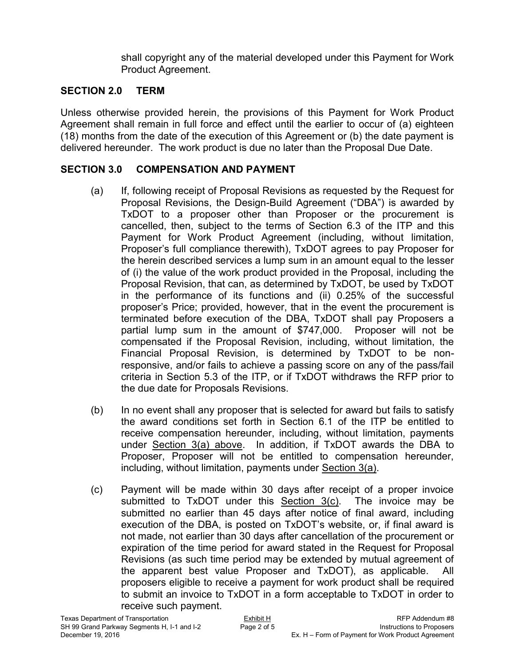shall copyright any of the material developed under this Payment for Work Product Agreement.

### **SECTION 2.0 TERM**

Unless otherwise provided herein, the provisions of this Payment for Work Product Agreement shall remain in full force and effect until the earlier to occur of (a) eighteen (18) months from the date of the execution of this Agreement or (b) the date payment is delivered hereunder. The work product is due no later than the Proposal Due Date.

### **SECTION 3.0 COMPENSATION AND PAYMENT**

- (a) If, following receipt of Proposal Revisions as requested by the Request for Proposal Revisions, the Design-Build Agreement ("DBA") is awarded by TxDOT to a proposer other than Proposer or the procurement is cancelled, then, subject to the terms of Section 6.3 of the ITP and this Payment for Work Product Agreement (including, without limitation, Proposer's full compliance therewith), TxDOT agrees to pay Proposer for the herein described services a lump sum in an amount equal to the lesser of (i) the value of the work product provided in the Proposal, including the Proposal Revision, that can, as determined by TxDOT, be used by TxDOT in the performance of its functions and (ii) 0.25% of the successful proposer's Price; provided, however, that in the event the procurement is terminated before execution of the DBA, TxDOT shall pay Proposers a partial lump sum in the amount of \$747,000. Proposer will not be compensated if the Proposal Revision, including, without limitation, the Financial Proposal Revision, is determined by TxDOT to be nonresponsive, and/or fails to achieve a passing score on any of the pass/fail criteria in Section 5.3 of the ITP, or if TxDOT withdraws the RFP prior to the due date for Proposals Revisions.
- (b) In no event shall any proposer that is selected for award but fails to satisfy the award conditions set forth in Section 6.1 of the ITP be entitled to receive compensation hereunder, including, without limitation, payments under Section 3(a) above. In addition, if TxDOT awards the DBA to Proposer, Proposer will not be entitled to compensation hereunder, including, without limitation, payments under Section 3(a).
- (c) Payment will be made within 30 days after receipt of a proper invoice submitted to TxDOT under this Section 3(c). The invoice may be submitted no earlier than 45 days after notice of final award, including execution of the DBA, is posted on TxDOT's website, or, if final award is not made, not earlier than 30 days after cancellation of the procurement or expiration of the time period for award stated in the Request for Proposal Revisions (as such time period may be extended by mutual agreement of the apparent best value Proposer and TxDOT), as applicable. All proposers eligible to receive a payment for work product shall be required to submit an invoice to TxDOT in a form acceptable to TxDOT in order to receive such payment.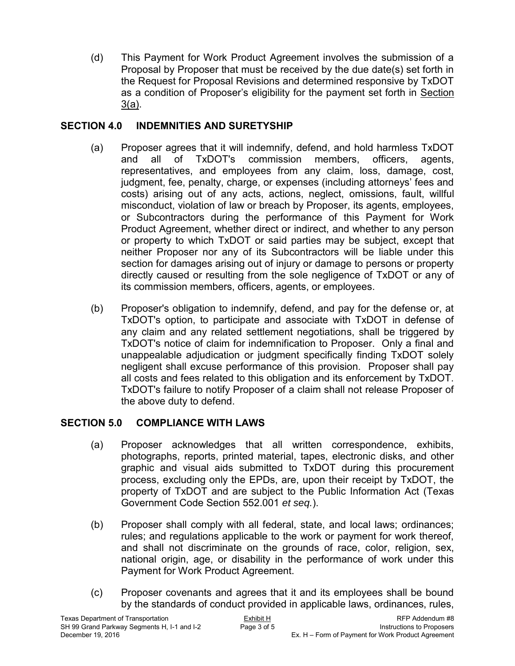(d) This Payment for Work Product Agreement involves the submission of a Proposal by Proposer that must be received by the due date(s) set forth in the Request for Proposal Revisions and determined responsive by TxDOT as a condition of Proposer's eligibility for the payment set forth in Section 3(a).

## **SECTION 4.0 INDEMNITIES AND SURETYSHIP**

- (a) Proposer agrees that it will indemnify, defend, and hold harmless TxDOT and all of TxDOT's commission members, officers, agents, representatives, and employees from any claim, loss, damage, cost, judgment, fee, penalty, charge, or expenses (including attorneys' fees and costs) arising out of any acts, actions, neglect, omissions, fault, willful misconduct, violation of law or breach by Proposer, its agents, employees, or Subcontractors during the performance of this Payment for Work Product Agreement, whether direct or indirect, and whether to any person or property to which TxDOT or said parties may be subject, except that neither Proposer nor any of its Subcontractors will be liable under this section for damages arising out of injury or damage to persons or property directly caused or resulting from the sole negligence of TxDOT or any of its commission members, officers, agents, or employees.
- (b) Proposer's obligation to indemnify, defend, and pay for the defense or, at TxDOT's option, to participate and associate with TxDOT in defense of any claim and any related settlement negotiations, shall be triggered by TxDOT's notice of claim for indemnification to Proposer. Only a final and unappealable adjudication or judgment specifically finding TxDOT solely negligent shall excuse performance of this provision. Proposer shall pay all costs and fees related to this obligation and its enforcement by TxDOT. TxDOT's failure to notify Proposer of a claim shall not release Proposer of the above duty to defend.

## **SECTION 5.0 COMPLIANCE WITH LAWS**

- (a) Proposer acknowledges that all written correspondence, exhibits, photographs, reports, printed material, tapes, electronic disks, and other graphic and visual aids submitted to TxDOT during this procurement process, excluding only the EPDs, are, upon their receipt by TxDOT, the property of TxDOT and are subject to the Public Information Act (Texas Government Code Section 552.001 *et seq.*).
- (b) Proposer shall comply with all federal, state, and local laws; ordinances; rules; and regulations applicable to the work or payment for work thereof, and shall not discriminate on the grounds of race, color, religion, sex, national origin, age, or disability in the performance of work under this Payment for Work Product Agreement.
- (c) Proposer covenants and agrees that it and its employees shall be bound by the standards of conduct provided in applicable laws, ordinances, rules,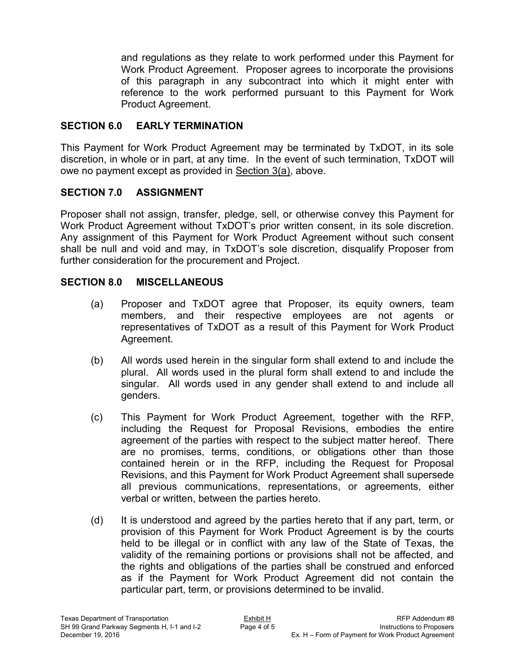and regulations as they relate to work performed under this Payment for Work Product Agreement. Proposer agrees to incorporate the provisions of this paragraph in any subcontract into which it might enter with reference to the work performed pursuant to this Payment for Work Product Agreement.

### **SECTION 6.0 EARLY TERMINATION**

This Payment for Work Product Agreement may be terminated by TxDOT, in its sole discretion, in whole or in part, at any time. In the event of such termination, TxDOT will owe no payment except as provided in Section 3(a), above.

## **SECTION 7.0 ASSIGNMENT**

Proposer shall not assign, transfer, pledge, sell, or otherwise convey this Payment for Work Product Agreement without TxDOT's prior written consent, in its sole discretion. Any assignment of this Payment for Work Product Agreement without such consent shall be null and void and may, in TxDOT's sole discretion, disqualify Proposer from further consideration for the procurement and Project.

## **SECTION 8.0 MISCELLANEOUS**

- (a) Proposer and TxDOT agree that Proposer, its equity owners, team members, and their respective employees are not agents or representatives of TxDOT as a result of this Payment for Work Product Agreement.
- (b) All words used herein in the singular form shall extend to and include the plural. All words used in the plural form shall extend to and include the singular. All words used in any gender shall extend to and include all genders.
- (c) This Payment for Work Product Agreement, together with the RFP, including the Request for Proposal Revisions, embodies the entire agreement of the parties with respect to the subject matter hereof. There are no promises, terms, conditions, or obligations other than those contained herein or in the RFP, including the Request for Proposal Revisions, and this Payment for Work Product Agreement shall supersede all previous communications, representations, or agreements, either verbal or written, between the parties hereto.
- (d) It is understood and agreed by the parties hereto that if any part, term, or provision of this Payment for Work Product Agreement is by the courts held to be illegal or in conflict with any law of the State of Texas, the validity of the remaining portions or provisions shall not be affected, and the rights and obligations of the parties shall be construed and enforced as if the Payment for Work Product Agreement did not contain the particular part, term, or provisions determined to be invalid.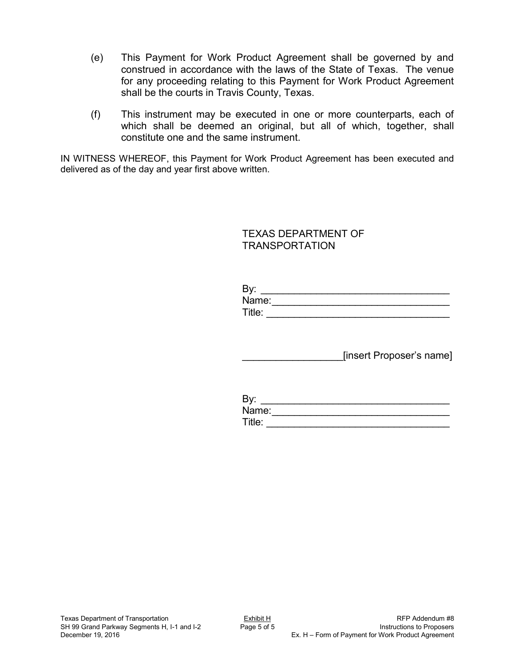- (e) This Payment for Work Product Agreement shall be governed by and construed in accordance with the laws of the State of Texas. The venue for any proceeding relating to this Payment for Work Product Agreement shall be the courts in Travis County, Texas.
- (f) This instrument may be executed in one or more counterparts, each of which shall be deemed an original, but all of which, together, shall constitute one and the same instrument.

IN WITNESS WHEREOF, this Payment for Work Product Agreement has been executed and delivered as of the day and year first above written.

### TEXAS DEPARTMENT OF TRANSPORTATION

| Rv.<br>— у — |  |
|--------------|--|
| Name:        |  |
| Title:       |  |

\_\_\_\_\_\_\_\_\_\_\_\_\_\_\_\_\_\_[insert Proposer's name]

| By:    |  |
|--------|--|
| Name:  |  |
| Title: |  |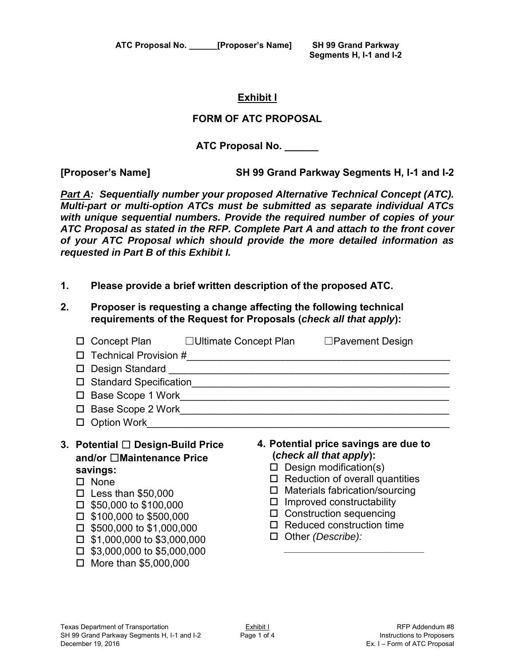**ATC Proposal No. \_\_\_\_\_\_[Proposer's Name] SH 99 Grand Parkway** 

 **Segments H, I-1 and I-2** 

### **Exhibit I**

### **FORM OF ATC PROPOSAL**

**ATC Proposal No. \_\_\_\_\_\_** 

**[Proposer's Name] SH 99 Grand Parkway Segments H, I-1 and I-2** 

*Part A: Sequentially number your proposed Alternative Technical Concept (ATC). Multi-part or multi-option ATCs must be submitted as separate individual ATCs with unique sequential numbers. Provide the required number of copies of your ATC Proposal as stated in the RFP. Complete Part A and attach to the front cover of your ATC Proposal which should provide the more detailed information as requested in Part B of this Exhibit I.* 

- **1. Please provide a brief written description of the proposed ATC.**
- **2. Proposer is requesting a change affecting the following technical requirements of the Request for Proposals (***check all that apply***):**

| ப<br>□<br>П<br>Base Scope 2 Work and the Scope 2 Work<br>П<br><b>Option Work</b><br>□                                                                                                                                                                                                                                          | $\Box$ Pavement Design<br>Base Scope 1 Work <b>Exercise Scope 1 Work</b>                                                                                                                                                                                                                                                    |
|--------------------------------------------------------------------------------------------------------------------------------------------------------------------------------------------------------------------------------------------------------------------------------------------------------------------------------|-----------------------------------------------------------------------------------------------------------------------------------------------------------------------------------------------------------------------------------------------------------------------------------------------------------------------------|
| 3. Potential □ Design-Build Price<br>and/or □Maintenance Price<br>savings:<br>$\square$ None<br>Less than $$50,000$<br>п<br>\$50,000 to \$100,000<br>□<br>\$100,000 to \$500,000<br>п<br>$\Box$ \$500,000 to \$1,000,000<br>\$1,000,000 to \$3,000,000<br>□<br>$\Box$ \$3,000,000 to \$5,000,000<br>More than \$5,000,000<br>п | 4. Potential price savings are due to<br>(check all that apply):<br>$\Box$ Design modification(s)<br>$\Box$ Reduction of overall quantities<br>Materials fabrication/sourcing<br>⊔<br>Improved constructability<br>⊔<br><b>Construction sequencing</b><br>Ц<br>$\Box$ Reduced construction time<br>$\Box$ Other (Describe): |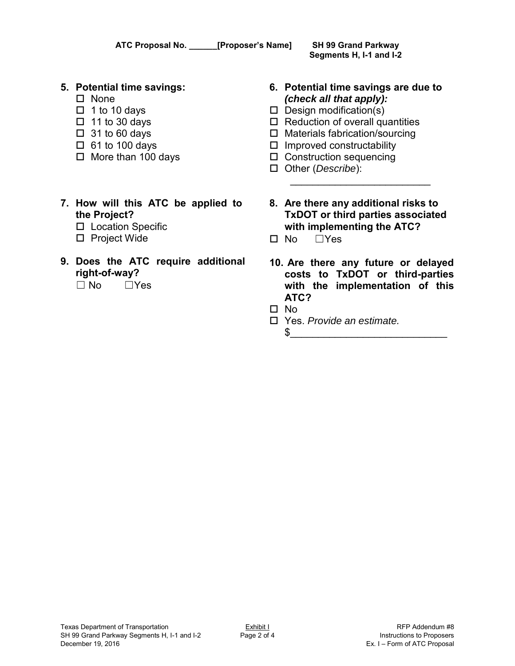|    | ATC Proposal No. _______ [Proposer's Name]                                                                                                                         |                       | <b>SH 99 Grand Parkway</b><br>Segments H, I-1 and I-2                                                                                                                                                                                              |
|----|--------------------------------------------------------------------------------------------------------------------------------------------------------------------|-----------------------|----------------------------------------------------------------------------------------------------------------------------------------------------------------------------------------------------------------------------------------------------|
|    | 5. Potential time savings:<br><b>None</b><br>1 to 10 days<br>11 to 30 days<br>$\Box$<br>$\Box$ 31 to 60 days<br>$\Box$ 61 to 100 days<br>$\Box$ More than 100 days | ш<br>⊔<br>ப<br>ш<br>ப | 6. Potential time savings are due to<br>(check all that apply):<br>Design modification(s)<br>Reduction of overall quantities<br>Materials fabrication/sourcing<br>Improved constructability<br>$\Box$ Construction sequencing<br>Other (Describe): |
|    | 7. How will this ATC be applied to<br>the Project?<br><b>Location Specific</b><br>ப<br><b>Project Wide</b><br>□                                                    | <b>No</b>             | 8. Are there any additional risks to<br><b>TxDOT or third parties associated</b><br>with implementing the ATC?<br>$\Box$ Yes                                                                                                                       |
| 9. | Does the ATC require additional                                                                                                                                    |                       | 10 Are there any future or delayer                                                                                                                                                                                                                 |

- **9. Does the ATC require additional right-of-way?** ☐ No ☐Yes
- 
- **10. Are there any future or delayed costs to TxDOT or third-parties with the implementation of this ATC?**
- No
- Yes. *Provide an estimate.*  $\frac{1}{2}$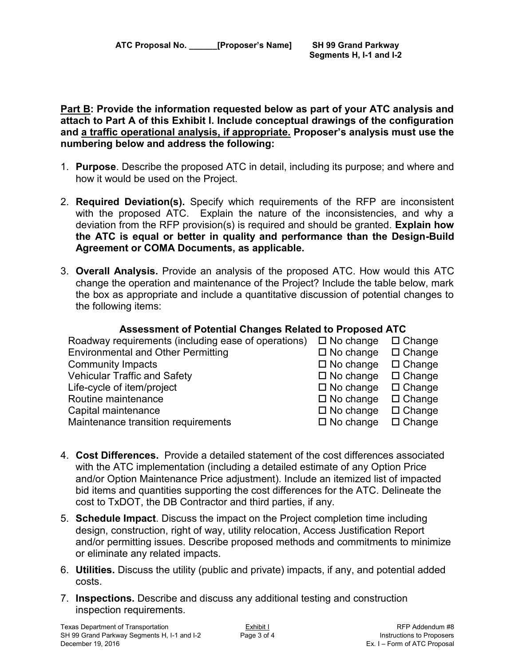**Part B: Provide the information requested below as part of your ATC analysis and attach to Part A of this Exhibit I. Include conceptual drawings of the configuration and a traffic operational analysis, if appropriate. Proposer's analysis must use the numbering below and address the following:** 

- 1. **Purpose**. Describe the proposed ATC in detail, including its purpose; and where and how it would be used on the Project.
- 2. **Required Deviation(s).** Specify which requirements of the RFP are inconsistent with the proposed ATC. Explain the nature of the inconsistencies, and why a deviation from the RFP provision(s) is required and should be granted. **Explain how the ATC is equal or better in quality and performance than the Design-Build Agreement or COMA Documents, as applicable.**
- 3. **Overall Analysis.** Provide an analysis of the proposed ATC. How would this ATC change the operation and maintenance of the Project? Include the table below, mark the box as appropriate and include a quantitative discussion of potential changes to the following items:

## **Assessment of Potential Changes Related to Proposed ATC**

| Roadway requirements (including ease of operations) | $\Box$ No change    | $\Box$ Change |
|-----------------------------------------------------|---------------------|---------------|
| <b>Environmental and Other Permitting</b>           | $\Box$ No change    | $\Box$ Change |
| <b>Community Impacts</b>                            | $\Box$ No change    | $\Box$ Change |
| <b>Vehicular Traffic and Safety</b>                 | $\square$ No change | $\Box$ Change |
| Life-cycle of item/project                          | $\square$ No change | $\Box$ Change |
| Routine maintenance                                 | $\square$ No change | $\Box$ Change |
| Capital maintenance                                 | $\square$ No change | $\Box$ Change |
| Maintenance transition requirements                 | $\square$ No change | $\Box$ Change |

- 4. **Cost Differences.** Provide a detailed statement of the cost differences associated with the ATC implementation (including a detailed estimate of any Option Price and/or Option Maintenance Price adjustment). Include an itemized list of impacted bid items and quantities supporting the cost differences for the ATC. Delineate the cost to TxDOT, the DB Contractor and third parties, if any.
- 5. **Schedule Impact**. Discuss the impact on the Project completion time including design, construction, right of way, utility relocation, Access Justification Report and/or permitting issues. Describe proposed methods and commitments to minimize or eliminate any related impacts.
- 6. **Utilities.** Discuss the utility (public and private) impacts, if any, and potential added costs.
- 7. **Inspections.** Describe and discuss any additional testing and construction inspection requirements.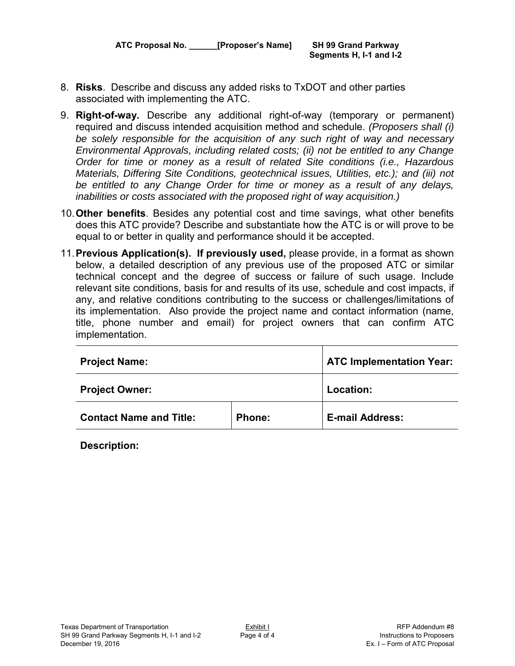**ATC Proposal No. \_\_\_\_\_\_[Proposer's Name] SH 99 Grand Parkway** 

 **Segments H, I-1 and I-2** 

- 8. **Risks**. Describe and discuss any added risks to TxDOT and other parties associated with implementing the ATC.
- 9. **Right-of-way.** Describe any additional right-of-way (temporary or permanent) required and discuss intended acquisition method and schedule. *(Proposers shall (i) be solely responsible for the acquisition of any such right of way and necessary Environmental Approvals, including related costs; (ii) not be entitled to any Change Order for time or money as a result of related Site conditions (i.e., Hazardous Materials, Differing Site Conditions, geotechnical issues, Utilities, etc.); and (iii) not be entitled to any Change Order for time or money as a result of any delays, inabilities or costs associated with the proposed right of way acquisition.)*
- 10.**Other benefits**. Besides any potential cost and time savings, what other benefits does this ATC provide? Describe and substantiate how the ATC is or will prove to be equal to or better in quality and performance should it be accepted.
- 11.**Previous Application(s). If previously used,** please provide, in a format as shown below, a detailed description of any previous use of the proposed ATC or similar technical concept and the degree of success or failure of such usage. Include relevant site conditions, basis for and results of its use, schedule and cost impacts, if any, and relative conditions contributing to the success or challenges/limitations of its implementation. Also provide the project name and contact information (name, title, phone number and email) for project owners that can confirm ATC implementation.

| <b>Project Name:</b>           | <b>ATC Implementation Year:</b> |                        |  |
|--------------------------------|---------------------------------|------------------------|--|
| <b>Project Owner:</b>          |                                 | Location:              |  |
| <b>Contact Name and Title:</b> | Phone:                          | <b>E-mail Address:</b> |  |

**Description:**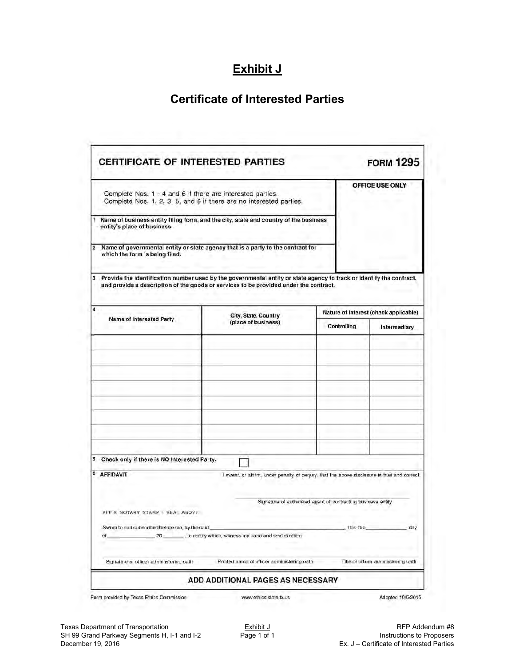# **Exhibit J**

# **Certificate of Interested Parties**

|                                                                                                                                                                                                                     |                                                                     |                                             |                                                                                                                                                                                                                                                                    | <b>FORM 1295</b>                                                                                                                                                           |
|---------------------------------------------------------------------------------------------------------------------------------------------------------------------------------------------------------------------|---------------------------------------------------------------------|---------------------------------------------|--------------------------------------------------------------------------------------------------------------------------------------------------------------------------------------------------------------------------------------------------------------------|----------------------------------------------------------------------------------------------------------------------------------------------------------------------------|
| Complete Nos. 1 - 4 and 6 if there are interested parties.                                                                                                                                                          | Complete Nos. 1, 2, 3, 5, and 6 if there are no interested parties. |                                             | OFFICE USE ONLY                                                                                                                                                                                                                                                    |                                                                                                                                                                            |
| Name of business entity filing form, and the city, state and country of the business                                                                                                                                |                                                                     |                                             |                                                                                                                                                                                                                                                                    |                                                                                                                                                                            |
|                                                                                                                                                                                                                     |                                                                     |                                             |                                                                                                                                                                                                                                                                    |                                                                                                                                                                            |
|                                                                                                                                                                                                                     |                                                                     |                                             |                                                                                                                                                                                                                                                                    |                                                                                                                                                                            |
|                                                                                                                                                                                                                     | City, State, Country<br>(place of business)                         |                                             | Nature of Interest (check applicable)                                                                                                                                                                                                                              |                                                                                                                                                                            |
| Name of Interested Party                                                                                                                                                                                            |                                                                     |                                             |                                                                                                                                                                                                                                                                    | Intermediary                                                                                                                                                               |
|                                                                                                                                                                                                                     |                                                                     |                                             |                                                                                                                                                                                                                                                                    |                                                                                                                                                                            |
|                                                                                                                                                                                                                     |                                                                     |                                             |                                                                                                                                                                                                                                                                    |                                                                                                                                                                            |
|                                                                                                                                                                                                                     |                                                                     |                                             |                                                                                                                                                                                                                                                                    |                                                                                                                                                                            |
| <b>AFFIDAVIT</b><br>I swear, or affirm, under penalty of perjury, that the above disclosure is true and correct.<br>Signature of authorized agent of contracting business entity<br>ALLIX NOTABY STAMP / SEAL ABOVE |                                                                     |                                             |                                                                                                                                                                                                                                                                    |                                                                                                                                                                            |
| Sworn to and subscribed before me, by the said<br>this the<br>day<br>, to certify which, witness my hand and seal of office.<br>20<br>o                                                                             |                                                                     |                                             |                                                                                                                                                                                                                                                                    |                                                                                                                                                                            |
| Signature of officer administering oath                                                                                                                                                                             |                                                                     |                                             |                                                                                                                                                                                                                                                                    |                                                                                                                                                                            |
|                                                                                                                                                                                                                     | entity's place of business.<br>which the form is being filed.       | Check only if there is NO Interested Party. | Name of governmental entity or state agency that is a party to the contract for<br>and provide a description of the goods or services to be provided under the contract.<br>Printed name of officer administering cath<br><b>ADD ADDITIONAL PAGES AS NECESSARY</b> | Provide the identification number used by the governmental entity or state agency to track or identify the contract.<br>Controlling<br>Title of officer administering oxth |

Form provided by Texas Ethics Commission

www.ethics.state.tx.us

Adopted 10/5/2015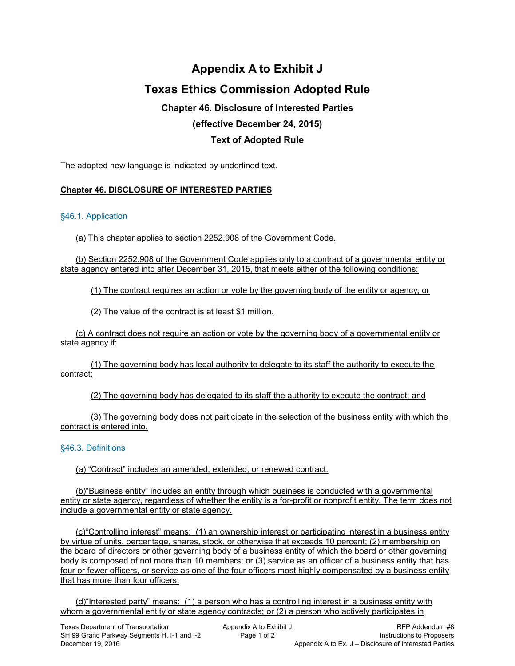# **Appendix A to Exhibit J Texas Ethics Commission Adopted Rule Chapter 46. Disclosure of Interested Parties**

## **(effective December 24, 2015)**

### **Text of Adopted Rule**

The adopted new language is indicated by underlined text.

#### **Chapter 46. DISCLOSURE OF INTERESTED PARTIES**

#### §46.1. Application

(a) This chapter applies to section 2252.908 of the Government Code.

(b) Section 2252.908 of the Government Code applies only to a contract of a governmental entity or state agency entered into after December 31, 2015, that meets either of the following conditions:

(1) The contract requires an action or vote by the governing body of the entity or agency; or

(2) The value of the contract is at least \$1 million.

(c) A contract does not require an action or vote by the governing body of a governmental entity or state agency if:

(1) The governing body has legal authority to delegate to its staff the authority to execute the contract;

(2) The governing body has delegated to its staff the authority to execute the contract; and

(3) The governing body does not participate in the selection of the business entity with which the contract is entered into.

#### §46.3. Definitions

(a) "Contract" includes an amended, extended, or renewed contract.

(b)"Business entity" includes an entity through which business is conducted with a governmental entity or state agency, regardless of whether the entity is a for-profit or nonprofit entity. The term does not include a governmental entity or state agency.

(c)"Controlling interest" means: (1) an ownership interest or participating interest in a business entity by virtue of units, percentage, shares, stock, or otherwise that exceeds 10 percent; (2) membership on the board of directors or other governing body of a business entity of which the board or other governing body is composed of not more than 10 members; or (3) service as an officer of a business entity that has four or fewer officers, or service as one of the four officers most highly compensated by a business entity that has more than four officers.

(d)"Interested party" means: (1) a person who has a controlling interest in a business entity with whom a governmental entity or state agency contracts; or (2) a person who actively participates in